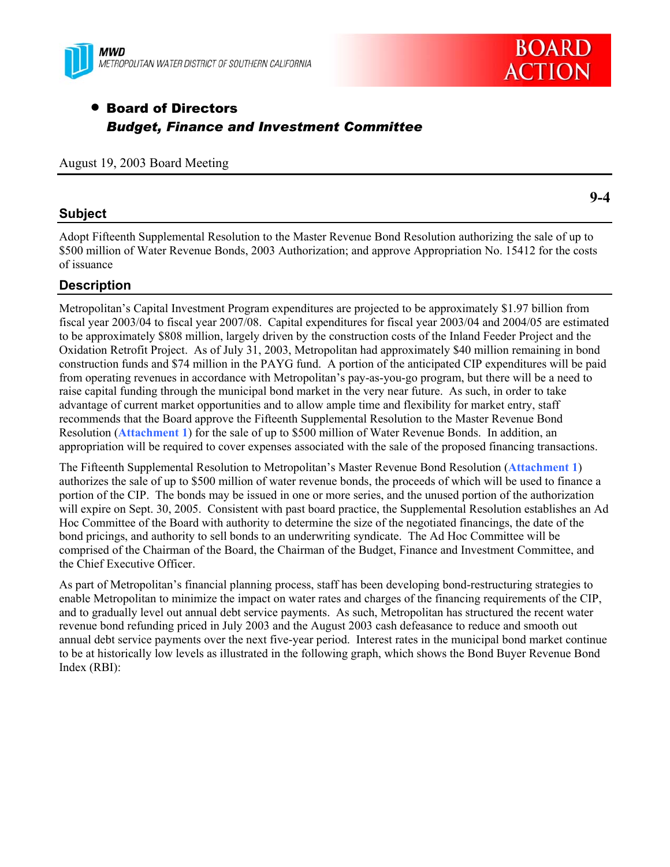



# • Board of Directors *Budget, Finance and Investment Committee*

## August 19, 2003 Board Meeting

## **Subject**

Adopt Fifteenth Supplemental Resolution to the Master Revenue Bond Resolution authorizing the sale of up to \$500 million of Water Revenue Bonds, 2003 Authorization; and approve Appropriation No. 15412 for the costs of issuance

## **Description**

Metropolitan's Capital Investment Program expenditures are projected to be approximately \$1.97 billion from fiscal year 2003/04 to fiscal year 2007/08. Capital expenditures for fiscal year 2003/04 and 2004/05 are estimated to be approximately \$808 million, largely driven by the construction costs of the Inland Feeder Project and the Oxidation Retrofit Project. As of July 31, 2003, Metropolitan had approximately \$40 million remaining in bond construction funds and \$74 million in the PAYG fund. A portion of the anticipated CIP expenditures will be paid from operating revenues in accordance with Metropolitan's pay-as-you-go program, but there will be a need to raise capital funding through the municipal bond market in the very near future. As such, in order to take advantage of current market opportunities and to allow ample time and flexibility for market entry, staff recommends that the Board approve the Fifteenth Supplemental Resolution to the Master Revenue Bond Resolution (**Attachment 1**) for the sale of up to \$500 million of Water Revenue Bonds. In addition, an appropriation will be required to cover expenses associated with the sale of the proposed financing transactions.

The Fifteenth Supplemental Resolution to Metropolitan's Master Revenue Bond Resolution (**Attachment 1**) authorizes the sale of up to \$500 million of water revenue bonds, the proceeds of which will be used to finance a portion of the CIP. The bonds may be issued in one or more series, and the unused portion of the authorization will expire on Sept. 30, 2005. Consistent with past board practice, the Supplemental Resolution establishes an Ad Hoc Committee of the Board with authority to determine the size of the negotiated financings, the date of the bond pricings, and authority to sell bonds to an underwriting syndicate. The Ad Hoc Committee will be comprised of the Chairman of the Board, the Chairman of the Budget, Finance and Investment Committee, and the Chief Executive Officer.

As part of Metropolitan's financial planning process, staff has been developing bond-restructuring strategies to enable Metropolitan to minimize the impact on water rates and charges of the financing requirements of the CIP, and to gradually level out annual debt service payments. As such, Metropolitan has structured the recent water revenue bond refunding priced in July 2003 and the August 2003 cash defeasance to reduce and smooth out annual debt service payments over the next five-year period. Interest rates in the municipal bond market continue to be at historically low levels as illustrated in the following graph, which shows the Bond Buyer Revenue Bond Index (RBI):

**9-4**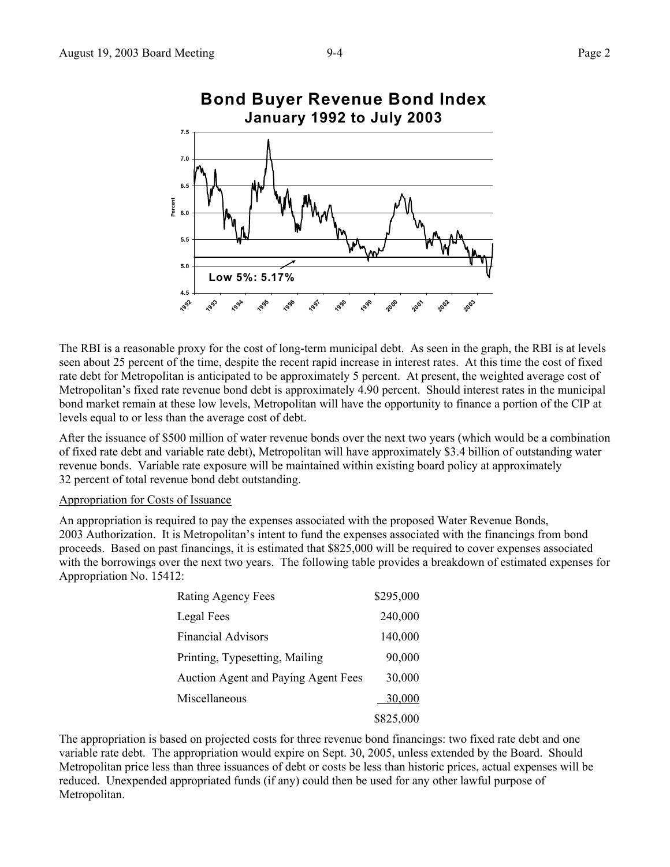

The RBI is a reasonable proxy for the cost of long-term municipal debt. As seen in the graph, the RBI is at levels seen about 25 percent of the time, despite the recent rapid increase in interest rates. At this time the cost of fixed rate debt for Metropolitan is anticipated to be approximately 5 percent. At present, the weighted average cost of Metropolitan's fixed rate revenue bond debt is approximately 4.90 percent. Should interest rates in the municipal bond market remain at these low levels, Metropolitan will have the opportunity to finance a portion of the CIP at levels equal to or less than the average cost of debt.

After the issuance of \$500 million of water revenue bonds over the next two years (which would be a combination of fixed rate debt and variable rate debt), Metropolitan will have approximately \$3.4 billion of outstanding water revenue bonds. Variable rate exposure will be maintained within existing board policy at approximately 32 percent of total revenue bond debt outstanding.

#### Appropriation for Costs of Issuance

An appropriation is required to pay the expenses associated with the proposed Water Revenue Bonds, 2003 Authorization. It is Metropolitan's intent to fund the expenses associated with the financings from bond proceeds. Based on past financings, it is estimated that \$825,000 will be required to cover expenses associated with the borrowings over the next two years. The following table provides a breakdown of estimated expenses for Appropriation No. 15412:

| <b>Rating Agency Fees</b>                  | \$295,000 |
|--------------------------------------------|-----------|
| Legal Fees                                 | 240,000   |
| <b>Financial Advisors</b>                  | 140,000   |
| Printing, Typesetting, Mailing             | 90,000    |
| <b>Auction Agent and Paying Agent Fees</b> | 30,000    |
| Miscellaneous                              | 30,000    |
|                                            | \$825,000 |

The appropriation is based on projected costs for three revenue bond financings: two fixed rate debt and one variable rate debt. The appropriation would expire on Sept. 30, 2005, unless extended by the Board. Should Metropolitan price less than three issuances of debt or costs be less than historic prices, actual expenses will be reduced. Unexpended appropriated funds (if any) could then be used for any other lawful purpose of Metropolitan.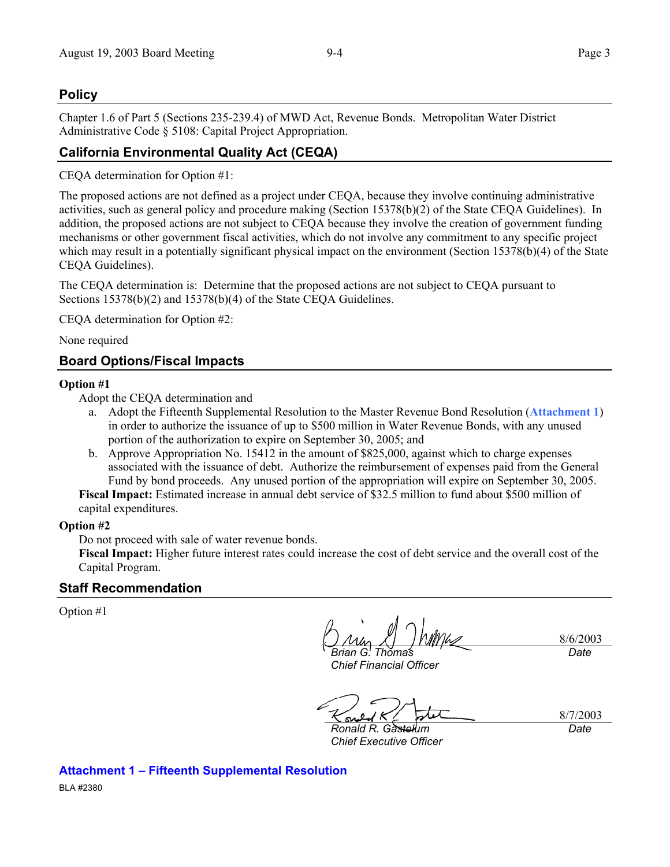## **Policy**

Chapter 1.6 of Part 5 (Sections 235-239.4) of MWD Act, Revenue Bonds. Metropolitan Water District Administrative Code § 5108: Capital Project Appropriation.

## **California Environmental Quality Act (CEQA)**

CEQA determination for Option #1:

The proposed actions are not defined as a project under CEQA, because they involve continuing administrative activities, such as general policy and procedure making (Section 15378(b)(2) of the State CEQA Guidelines). In addition, the proposed actions are not subject to CEQA because they involve the creation of government funding mechanisms or other government fiscal activities, which do not involve any commitment to any specific project which may result in a potentially significant physical impact on the environment (Section 15378(b)(4) of the State CEQA Guidelines).

The CEQA determination is: Determine that the proposed actions are not subject to CEQA pursuant to Sections 15378(b)(2) and 15378(b)(4) of the State CEQA Guidelines.

CEQA determination for Option #2:

None required

## **Board Options/Fiscal Impacts**

#### **Option #1**

Adopt the CEQA determination and

- a. Adopt the Fifteenth Supplemental Resolution to the Master Revenue Bond Resolution (**Attachment 1**) in order to authorize the issuance of up to \$500 million in Water Revenue Bonds, with any unused portion of the authorization to expire on September 30, 2005; and
- b. Approve Appropriation No. 15412 in the amount of \$825,000, against which to charge expenses associated with the issuance of debt. Authorize the reimbursement of expenses paid from the General Fund by bond proceeds. Any unused portion of the appropriation will expire on September 30, 2005.

**Fiscal Impact:** Estimated increase in annual debt service of \$32.5 million to fund about \$500 million of capital expenditures.

#### **Option #2**

Do not proceed with sale of water revenue bonds.

**Fiscal Impact:** Higher future interest rates could increase the cost of debt service and the overall cost of the Capital Program.

### **Staff Recommendation**

Option #1

8/6/2003 *Brian G. Thomas Date* 

*Chief Financial Officer* 

8/7/2003

*Ronald R. Gastelum Chief Executive Officer* 

*Date* 

BLA #2380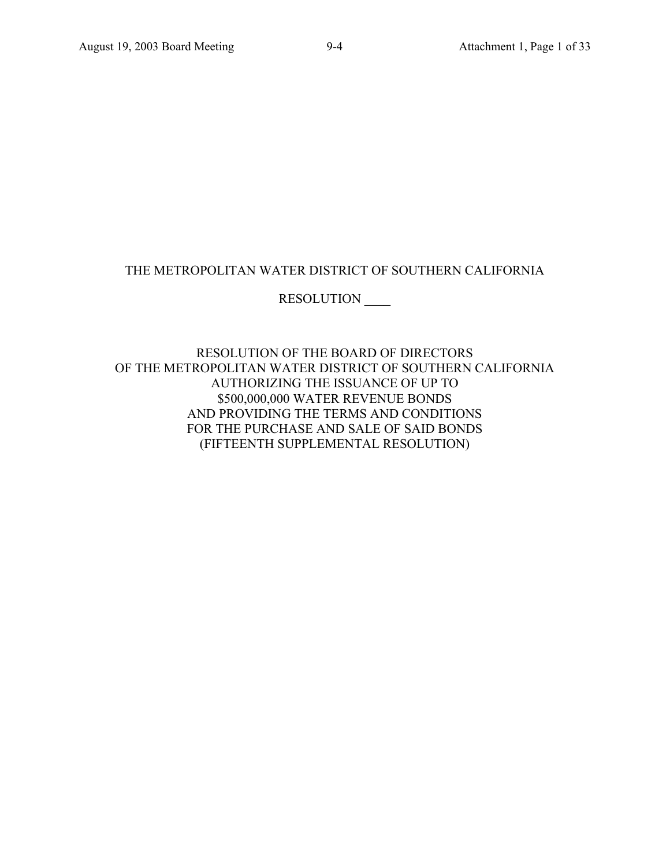## THE METROPOLITAN WATER DISTRICT OF SOUTHERN CALIFORNIA

## RESOLUTION \_\_\_\_

RESOLUTION OF THE BOARD OF DIRECTORS OF THE METROPOLITAN WATER DISTRICT OF SOUTHERN CALIFORNIA AUTHORIZING THE ISSUANCE OF UP TO \$500,000,000 WATER REVENUE BONDS AND PROVIDING THE TERMS AND CONDITIONS FOR THE PURCHASE AND SALE OF SAID BONDS (FIFTEENTH SUPPLEMENTAL RESOLUTION)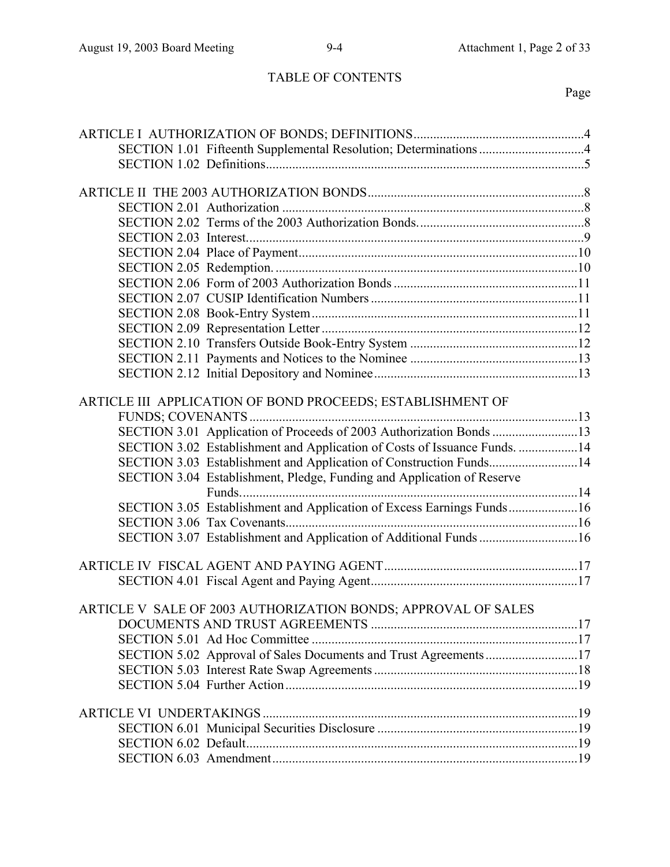# TABLE OF CONTENTS

# Page

| SECTION 1.01 Fifteenth Supplemental Resolution; Determinations 4          |  |
|---------------------------------------------------------------------------|--|
|                                                                           |  |
|                                                                           |  |
|                                                                           |  |
|                                                                           |  |
|                                                                           |  |
|                                                                           |  |
|                                                                           |  |
|                                                                           |  |
|                                                                           |  |
|                                                                           |  |
|                                                                           |  |
|                                                                           |  |
|                                                                           |  |
|                                                                           |  |
|                                                                           |  |
| ARTICLE III APPLICATION OF BOND PROCEEDS; ESTABLISHMENT OF                |  |
|                                                                           |  |
| SECTION 3.01 Application of Proceeds of 2003 Authorization Bonds 13       |  |
| SECTION 3.02 Establishment and Application of Costs of Issuance Funds. 14 |  |
| SECTION 3.03 Establishment and Application of Construction Funds14        |  |
| SECTION 3.04 Establishment, Pledge, Funding and Application of Reserve    |  |
|                                                                           |  |
| SECTION 3.05 Establishment and Application of Excess Earnings Funds16     |  |
|                                                                           |  |
| SECTION 3.07 Establishment and Application of Additional Funds 16         |  |
|                                                                           |  |
|                                                                           |  |
|                                                                           |  |
| ARTICLE V SALE OF 2003 AUTHORIZATION BONDS: APPROVAL OF SALES             |  |
|                                                                           |  |
|                                                                           |  |
| SECTION 5.02 Approval of Sales Documents and Trust Agreements 17          |  |
|                                                                           |  |
|                                                                           |  |
|                                                                           |  |
|                                                                           |  |
|                                                                           |  |
|                                                                           |  |
|                                                                           |  |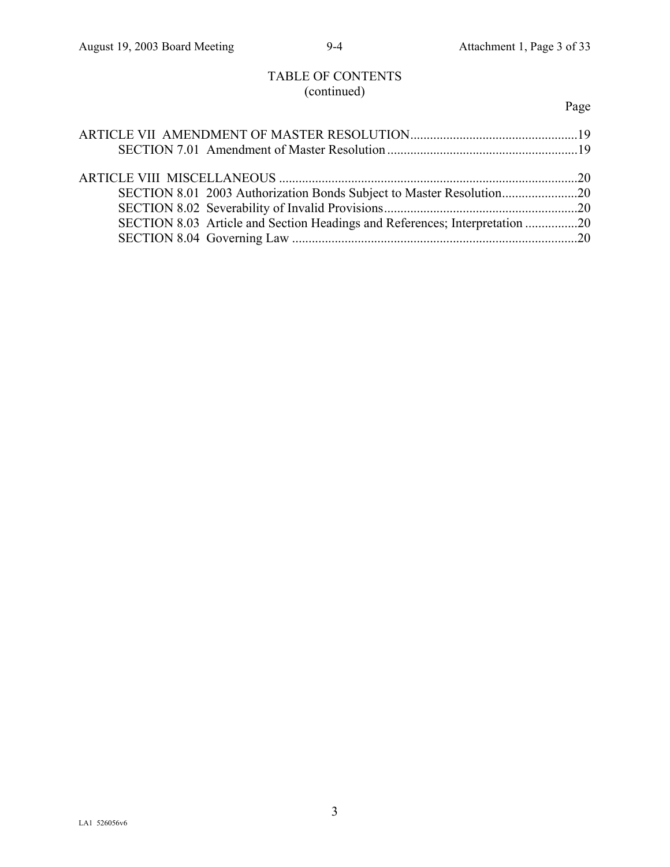# TABLE OF CONTENTS (continued)

# Page

| SECTION 8.03 Article and Section Headings and References; Interpretation 20 |  |
|-----------------------------------------------------------------------------|--|
|                                                                             |  |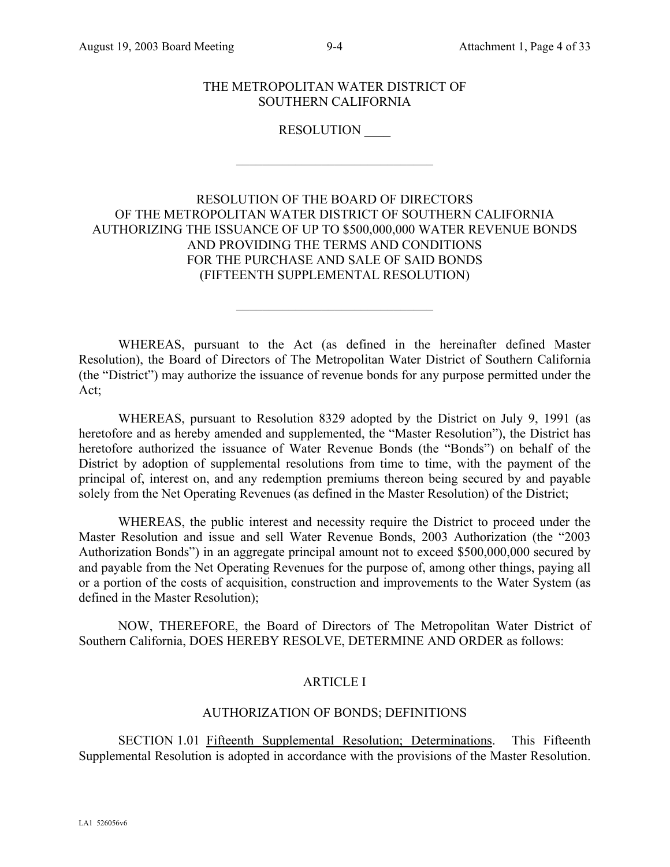THE METROPOLITAN WATER DISTRICT OF SOUTHERN CALIFORNIA

RESOLUTION \_\_\_\_

 $\mathcal{L}_\text{max}$  , where  $\mathcal{L}_\text{max}$  and  $\mathcal{L}_\text{max}$ 

RESOLUTION OF THE BOARD OF DIRECTORS OF THE METROPOLITAN WATER DISTRICT OF SOUTHERN CALIFORNIA AUTHORIZING THE ISSUANCE OF UP TO \$500,000,000 WATER REVENUE BONDS AND PROVIDING THE TERMS AND CONDITIONS FOR THE PURCHASE AND SALE OF SAID BONDS (FIFTEENTH SUPPLEMENTAL RESOLUTION)

WHEREAS, pursuant to the Act (as defined in the hereinafter defined Master Resolution), the Board of Directors of The Metropolitan Water District of Southern California (the "District") may authorize the issuance of revenue bonds for any purpose permitted under the Act;

 $\mathcal{L}_\text{max}$  , where  $\mathcal{L}_\text{max}$  and  $\mathcal{L}_\text{max}$ 

WHEREAS, pursuant to Resolution 8329 adopted by the District on July 9, 1991 (as heretofore and as hereby amended and supplemented, the "Master Resolution"), the District has heretofore authorized the issuance of Water Revenue Bonds (the "Bonds") on behalf of the District by adoption of supplemental resolutions from time to time, with the payment of the principal of, interest on, and any redemption premiums thereon being secured by and payable solely from the Net Operating Revenues (as defined in the Master Resolution) of the District;

WHEREAS, the public interest and necessity require the District to proceed under the Master Resolution and issue and sell Water Revenue Bonds, 2003 Authorization (the "2003 Authorization Bonds") in an aggregate principal amount not to exceed \$500,000,000 secured by and payable from the Net Operating Revenues for the purpose of, among other things, paying all or a portion of the costs of acquisition, construction and improvements to the Water System (as defined in the Master Resolution);

NOW, THEREFORE, the Board of Directors of The Metropolitan Water District of Southern California, DOES HEREBY RESOLVE, DETERMINE AND ORDER as follows:

## ARTICLE I

## AUTHORIZATION OF BONDS; DEFINITIONS

SECTION 1.01 Fifteenth Supplemental Resolution; Determinations. This Fifteenth Supplemental Resolution is adopted in accordance with the provisions of the Master Resolution.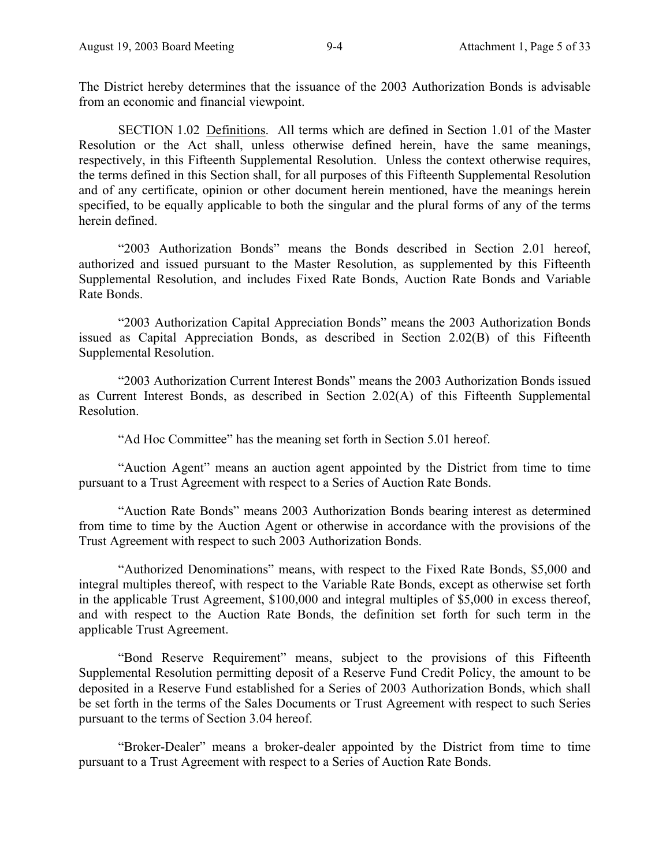The District hereby determines that the issuance of the 2003 Authorization Bonds is advisable from an economic and financial viewpoint.

SECTION 1.02 Definitions. All terms which are defined in Section 1.01 of the Master Resolution or the Act shall, unless otherwise defined herein, have the same meanings, respectively, in this Fifteenth Supplemental Resolution. Unless the context otherwise requires, the terms defined in this Section shall, for all purposes of this Fifteenth Supplemental Resolution and of any certificate, opinion or other document herein mentioned, have the meanings herein specified, to be equally applicable to both the singular and the plural forms of any of the terms herein defined.

"2003 Authorization Bonds" means the Bonds described in Section 2.01 hereof, authorized and issued pursuant to the Master Resolution, as supplemented by this Fifteenth Supplemental Resolution, and includes Fixed Rate Bonds, Auction Rate Bonds and Variable Rate Bonds.

"2003 Authorization Capital Appreciation Bonds" means the 2003 Authorization Bonds issued as Capital Appreciation Bonds, as described in Section 2.02(B) of this Fifteenth Supplemental Resolution.

"2003 Authorization Current Interest Bonds" means the 2003 Authorization Bonds issued as Current Interest Bonds, as described in Section 2.02(A) of this Fifteenth Supplemental **Resolution** 

"Ad Hoc Committee" has the meaning set forth in Section 5.01 hereof.

"Auction Agent" means an auction agent appointed by the District from time to time pursuant to a Trust Agreement with respect to a Series of Auction Rate Bonds.

"Auction Rate Bonds" means 2003 Authorization Bonds bearing interest as determined from time to time by the Auction Agent or otherwise in accordance with the provisions of the Trust Agreement with respect to such 2003 Authorization Bonds.

"Authorized Denominations" means, with respect to the Fixed Rate Bonds, \$5,000 and integral multiples thereof, with respect to the Variable Rate Bonds, except as otherwise set forth in the applicable Trust Agreement, \$100,000 and integral multiples of \$5,000 in excess thereof, and with respect to the Auction Rate Bonds, the definition set forth for such term in the applicable Trust Agreement.

"Bond Reserve Requirement" means, subject to the provisions of this Fifteenth Supplemental Resolution permitting deposit of a Reserve Fund Credit Policy, the amount to be deposited in a Reserve Fund established for a Series of 2003 Authorization Bonds, which shall be set forth in the terms of the Sales Documents or Trust Agreement with respect to such Series pursuant to the terms of Section 3.04 hereof.

"Broker-Dealer" means a broker-dealer appointed by the District from time to time pursuant to a Trust Agreement with respect to a Series of Auction Rate Bonds.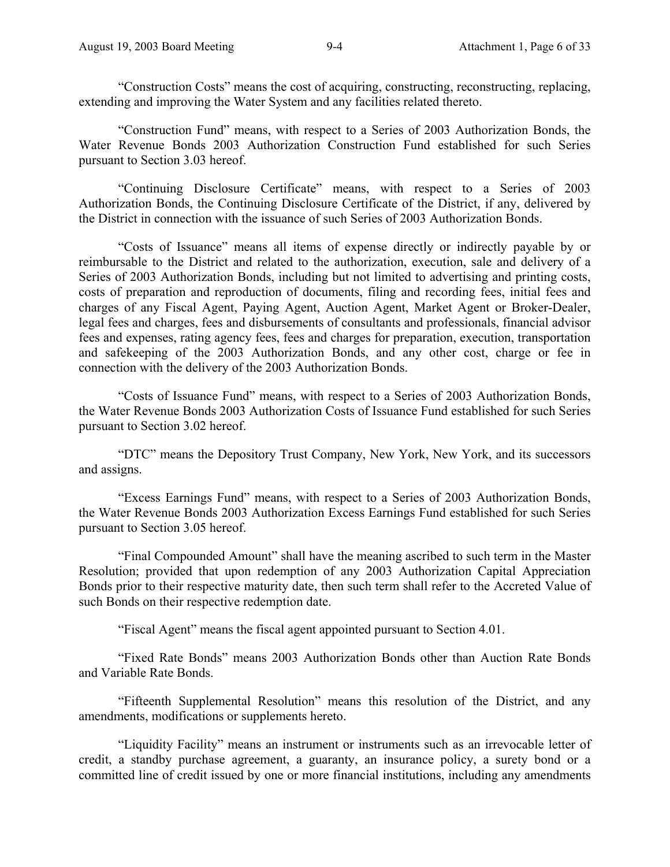"Construction Costs" means the cost of acquiring, constructing, reconstructing, replacing, extending and improving the Water System and any facilities related thereto.

"Construction Fund" means, with respect to a Series of 2003 Authorization Bonds, the Water Revenue Bonds 2003 Authorization Construction Fund established for such Series pursuant to Section 3.03 hereof.

"Continuing Disclosure Certificate" means, with respect to a Series of 2003 Authorization Bonds, the Continuing Disclosure Certificate of the District, if any, delivered by the District in connection with the issuance of such Series of 2003 Authorization Bonds.

"Costs of Issuance" means all items of expense directly or indirectly payable by or reimbursable to the District and related to the authorization, execution, sale and delivery of a Series of 2003 Authorization Bonds, including but not limited to advertising and printing costs, costs of preparation and reproduction of documents, filing and recording fees, initial fees and charges of any Fiscal Agent, Paying Agent, Auction Agent, Market Agent or Broker-Dealer, legal fees and charges, fees and disbursements of consultants and professionals, financial advisor fees and expenses, rating agency fees, fees and charges for preparation, execution, transportation and safekeeping of the 2003 Authorization Bonds, and any other cost, charge or fee in connection with the delivery of the 2003 Authorization Bonds.

"Costs of Issuance Fund" means, with respect to a Series of 2003 Authorization Bonds, the Water Revenue Bonds 2003 Authorization Costs of Issuance Fund established for such Series pursuant to Section 3.02 hereof.

"DTC" means the Depository Trust Company, New York, New York, and its successors and assigns.

"Excess Earnings Fund" means, with respect to a Series of 2003 Authorization Bonds, the Water Revenue Bonds 2003 Authorization Excess Earnings Fund established for such Series pursuant to Section 3.05 hereof.

"Final Compounded Amount" shall have the meaning ascribed to such term in the Master Resolution; provided that upon redemption of any 2003 Authorization Capital Appreciation Bonds prior to their respective maturity date, then such term shall refer to the Accreted Value of such Bonds on their respective redemption date.

"Fiscal Agent" means the fiscal agent appointed pursuant to Section 4.01.

"Fixed Rate Bonds" means 2003 Authorization Bonds other than Auction Rate Bonds and Variable Rate Bonds.

"Fifteenth Supplemental Resolution" means this resolution of the District, and any amendments, modifications or supplements hereto.

"Liquidity Facility" means an instrument or instruments such as an irrevocable letter of credit, a standby purchase agreement, a guaranty, an insurance policy, a surety bond or a committed line of credit issued by one or more financial institutions, including any amendments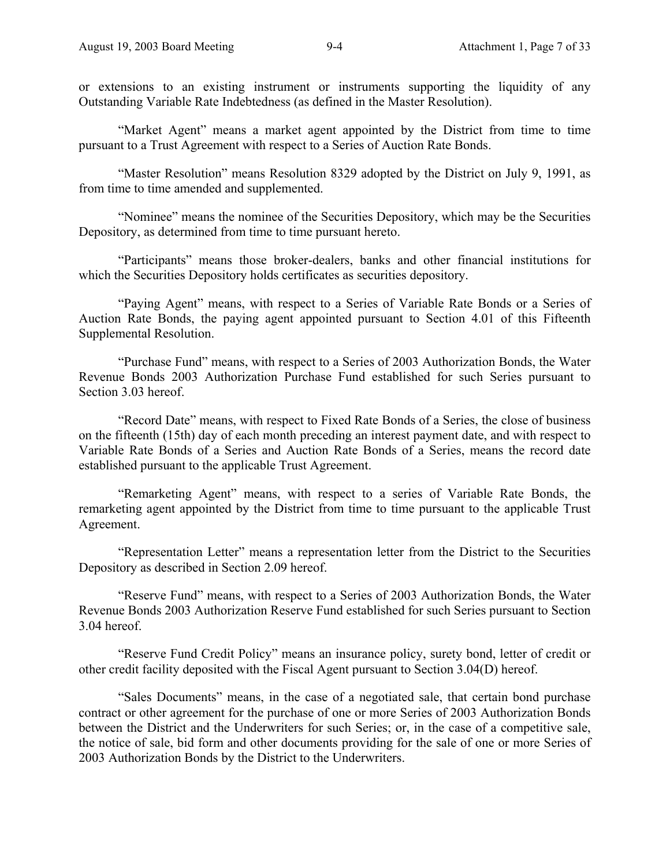or extensions to an existing instrument or instruments supporting the liquidity of any Outstanding Variable Rate Indebtedness (as defined in the Master Resolution).

"Market Agent" means a market agent appointed by the District from time to time pursuant to a Trust Agreement with respect to a Series of Auction Rate Bonds.

"Master Resolution" means Resolution 8329 adopted by the District on July 9, 1991, as from time to time amended and supplemented.

"Nominee" means the nominee of the Securities Depository, which may be the Securities Depository, as determined from time to time pursuant hereto.

"Participants" means those broker-dealers, banks and other financial institutions for which the Securities Depository holds certificates as securities depository.

"Paying Agent" means, with respect to a Series of Variable Rate Bonds or a Series of Auction Rate Bonds, the paying agent appointed pursuant to Section 4.01 of this Fifteenth Supplemental Resolution.

"Purchase Fund" means, with respect to a Series of 2003 Authorization Bonds, the Water Revenue Bonds 2003 Authorization Purchase Fund established for such Series pursuant to Section 3.03 hereof.

"Record Date" means, with respect to Fixed Rate Bonds of a Series, the close of business on the fifteenth (15th) day of each month preceding an interest payment date, and with respect to Variable Rate Bonds of a Series and Auction Rate Bonds of a Series, means the record date established pursuant to the applicable Trust Agreement.

"Remarketing Agent" means, with respect to a series of Variable Rate Bonds, the remarketing agent appointed by the District from time to time pursuant to the applicable Trust Agreement.

"Representation Letter" means a representation letter from the District to the Securities Depository as described in Section 2.09 hereof.

"Reserve Fund" means, with respect to a Series of 2003 Authorization Bonds, the Water Revenue Bonds 2003 Authorization Reserve Fund established for such Series pursuant to Section 3.04 hereof.

"Reserve Fund Credit Policy" means an insurance policy, surety bond, letter of credit or other credit facility deposited with the Fiscal Agent pursuant to Section 3.04(D) hereof.

"Sales Documents" means, in the case of a negotiated sale, that certain bond purchase contract or other agreement for the purchase of one or more Series of 2003 Authorization Bonds between the District and the Underwriters for such Series; or, in the case of a competitive sale, the notice of sale, bid form and other documents providing for the sale of one or more Series of 2003 Authorization Bonds by the District to the Underwriters.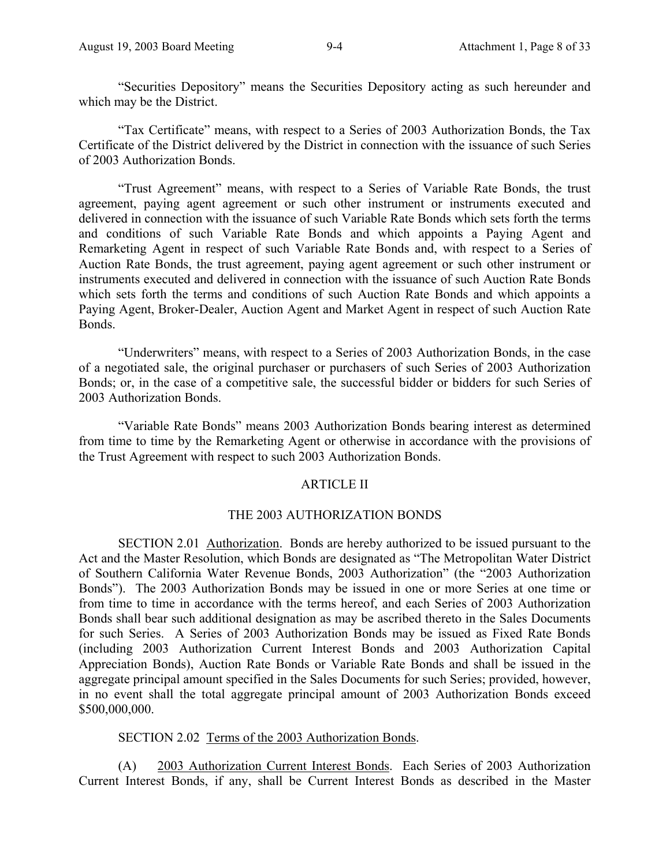"Securities Depository" means the Securities Depository acting as such hereunder and which may be the District.

"Tax Certificate" means, with respect to a Series of 2003 Authorization Bonds, the Tax Certificate of the District delivered by the District in connection with the issuance of such Series of 2003 Authorization Bonds.

"Trust Agreement" means, with respect to a Series of Variable Rate Bonds, the trust agreement, paying agent agreement or such other instrument or instruments executed and delivered in connection with the issuance of such Variable Rate Bonds which sets forth the terms and conditions of such Variable Rate Bonds and which appoints a Paying Agent and Remarketing Agent in respect of such Variable Rate Bonds and, with respect to a Series of Auction Rate Bonds, the trust agreement, paying agent agreement or such other instrument or instruments executed and delivered in connection with the issuance of such Auction Rate Bonds which sets forth the terms and conditions of such Auction Rate Bonds and which appoints a Paying Agent, Broker-Dealer, Auction Agent and Market Agent in respect of such Auction Rate Bonds.

"Underwriters" means, with respect to a Series of 2003 Authorization Bonds, in the case of a negotiated sale, the original purchaser or purchasers of such Series of 2003 Authorization Bonds; or, in the case of a competitive sale, the successful bidder or bidders for such Series of 2003 Authorization Bonds.

"Variable Rate Bonds" means 2003 Authorization Bonds bearing interest as determined from time to time by the Remarketing Agent or otherwise in accordance with the provisions of the Trust Agreement with respect to such 2003 Authorization Bonds.

### ARTICLE II

### THE 2003 AUTHORIZATION BONDS

SECTION 2.01 Authorization. Bonds are hereby authorized to be issued pursuant to the Act and the Master Resolution, which Bonds are designated as "The Metropolitan Water District of Southern California Water Revenue Bonds, 2003 Authorization" (the "2003 Authorization Bonds"). The 2003 Authorization Bonds may be issued in one or more Series at one time or from time to time in accordance with the terms hereof, and each Series of 2003 Authorization Bonds shall bear such additional designation as may be ascribed thereto in the Sales Documents for such Series. A Series of 2003 Authorization Bonds may be issued as Fixed Rate Bonds (including 2003 Authorization Current Interest Bonds and 2003 Authorization Capital Appreciation Bonds), Auction Rate Bonds or Variable Rate Bonds and shall be issued in the aggregate principal amount specified in the Sales Documents for such Series; provided, however, in no event shall the total aggregate principal amount of 2003 Authorization Bonds exceed \$500,000,000.

### SECTION 2.02 Terms of the 2003 Authorization Bonds.

(A) 2003 Authorization Current Interest Bonds. Each Series of 2003 Authorization Current Interest Bonds, if any, shall be Current Interest Bonds as described in the Master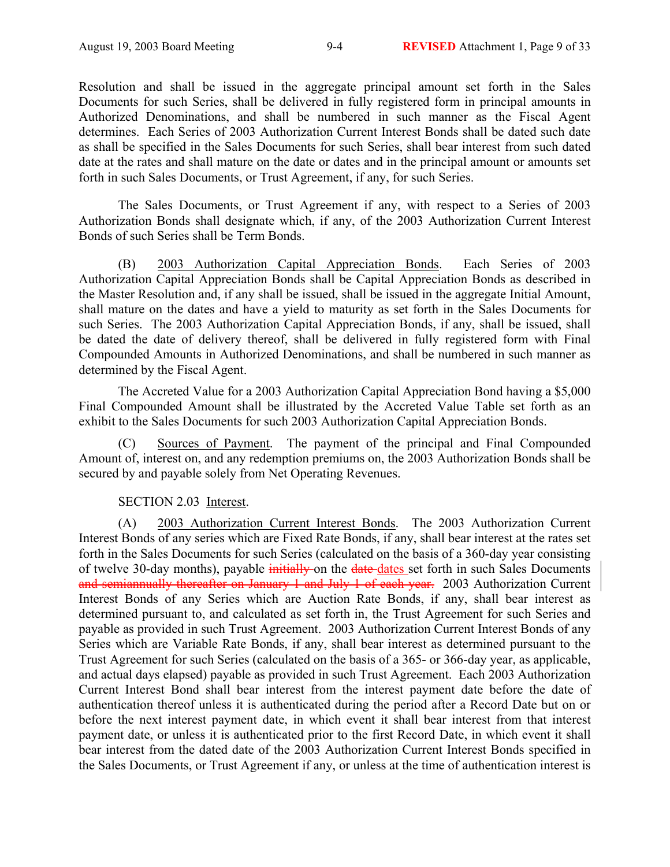Resolution and shall be issued in the aggregate principal amount set forth in the Sales Documents for such Series, shall be delivered in fully registered form in principal amounts in Authorized Denominations, and shall be numbered in such manner as the Fiscal Agent determines. Each Series of 2003 Authorization Current Interest Bonds shall be dated such date as shall be specified in the Sales Documents for such Series, shall bear interest from such dated date at the rates and shall mature on the date or dates and in the principal amount or amounts set forth in such Sales Documents, or Trust Agreement, if any, for such Series.

The Sales Documents, or Trust Agreement if any, with respect to a Series of 2003 Authorization Bonds shall designate which, if any, of the 2003 Authorization Current Interest Bonds of such Series shall be Term Bonds.

(B) 2003 Authorization Capital Appreciation Bonds. Each Series of 2003 Authorization Capital Appreciation Bonds shall be Capital Appreciation Bonds as described in the Master Resolution and, if any shall be issued, shall be issued in the aggregate Initial Amount, shall mature on the dates and have a yield to maturity as set forth in the Sales Documents for such Series. The 2003 Authorization Capital Appreciation Bonds, if any, shall be issued, shall be dated the date of delivery thereof, shall be delivered in fully registered form with Final Compounded Amounts in Authorized Denominations, and shall be numbered in such manner as determined by the Fiscal Agent.

The Accreted Value for a 2003 Authorization Capital Appreciation Bond having a \$5,000 Final Compounded Amount shall be illustrated by the Accreted Value Table set forth as an exhibit to the Sales Documents for such 2003 Authorization Capital Appreciation Bonds.

(C) Sources of Payment. The payment of the principal and Final Compounded Amount of, interest on, and any redemption premiums on, the 2003 Authorization Bonds shall be secured by and payable solely from Net Operating Revenues.

## SECTION 2.03 Interest.

(A) 2003 Authorization Current Interest Bonds. The 2003 Authorization Current Interest Bonds of any series which are Fixed Rate Bonds, if any, shall bear interest at the rates set forth in the Sales Documents for such Series (calculated on the basis of a 360-day year consisting of twelve 30-day months), payable initially on the date dates set forth in such Sales Documents and semiannually thereafter on January 1 and July 1 of each year. 2003 Authorization Current Interest Bonds of any Series which are Auction Rate Bonds, if any, shall bear interest as determined pursuant to, and calculated as set forth in, the Trust Agreement for such Series and payable as provided in such Trust Agreement. 2003 Authorization Current Interest Bonds of any Series which are Variable Rate Bonds, if any, shall bear interest as determined pursuant to the Trust Agreement for such Series (calculated on the basis of a 365- or 366-day year, as applicable, and actual days elapsed) payable as provided in such Trust Agreement. Each 2003 Authorization Current Interest Bond shall bear interest from the interest payment date before the date of authentication thereof unless it is authenticated during the period after a Record Date but on or before the next interest payment date, in which event it shall bear interest from that interest payment date, or unless it is authenticated prior to the first Record Date, in which event it shall bear interest from the dated date of the 2003 Authorization Current Interest Bonds specified in the Sales Documents, or Trust Agreement if any, or unless at the time of authentication interest is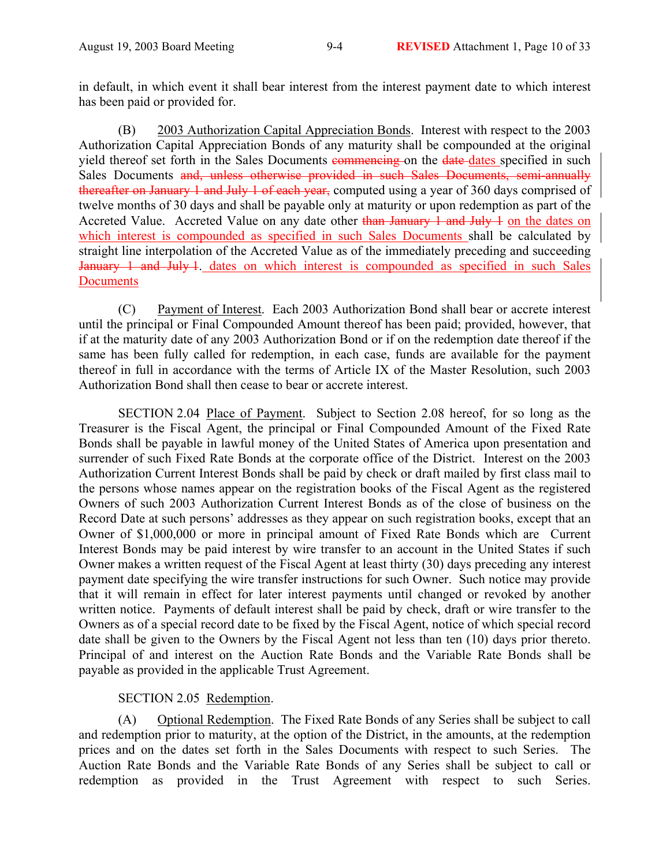in default, in which event it shall bear interest from the interest payment date to which interest has been paid or provided for.

(B) 2003 Authorization Capital Appreciation Bonds. Interest with respect to the 2003 Authorization Capital Appreciation Bonds of any maturity shall be compounded at the original yield thereof set forth in the Sales Documents commencing on the date dates specified in such Sales Documents and, unless otherwise provided in such Sales Documents, semi-annually thereafter on January 1 and July 1 of each year, computed using a year of 360 days comprised of twelve months of 30 days and shall be payable only at maturity or upon redemption as part of the Accreted Value. Accreted Value on any date other than January 1 and July 1 on the dates on which interest is compounded as specified in such Sales Documents shall be calculated by straight line interpolation of the Accreted Value as of the immediately preceding and succeeding January 1 and July 1. dates on which interest is compounded as specified in such Sales **Documents** 

(C) Payment of Interest. Each 2003 Authorization Bond shall bear or accrete interest until the principal or Final Compounded Amount thereof has been paid; provided, however, that if at the maturity date of any 2003 Authorization Bond or if on the redemption date thereof if the same has been fully called for redemption, in each case, funds are available for the payment thereof in full in accordance with the terms of Article IX of the Master Resolution, such 2003 Authorization Bond shall then cease to bear or accrete interest.

SECTION 2.04 Place of Payment. Subject to Section 2.08 hereof, for so long as the Treasurer is the Fiscal Agent, the principal or Final Compounded Amount of the Fixed Rate Bonds shall be payable in lawful money of the United States of America upon presentation and surrender of such Fixed Rate Bonds at the corporate office of the District. Interest on the 2003 Authorization Current Interest Bonds shall be paid by check or draft mailed by first class mail to the persons whose names appear on the registration books of the Fiscal Agent as the registered Owners of such 2003 Authorization Current Interest Bonds as of the close of business on the Record Date at such persons' addresses as they appear on such registration books, except that an Owner of \$1,000,000 or more in principal amount of Fixed Rate Bonds which are Current Interest Bonds may be paid interest by wire transfer to an account in the United States if such Owner makes a written request of the Fiscal Agent at least thirty (30) days preceding any interest payment date specifying the wire transfer instructions for such Owner. Such notice may provide that it will remain in effect for later interest payments until changed or revoked by another written notice. Payments of default interest shall be paid by check, draft or wire transfer to the Owners as of a special record date to be fixed by the Fiscal Agent, notice of which special record date shall be given to the Owners by the Fiscal Agent not less than ten (10) days prior thereto. Principal of and interest on the Auction Rate Bonds and the Variable Rate Bonds shall be payable as provided in the applicable Trust Agreement.

## SECTION 2.05 Redemption.

(A) Optional Redemption. The Fixed Rate Bonds of any Series shall be subject to call and redemption prior to maturity, at the option of the District, in the amounts, at the redemption prices and on the dates set forth in the Sales Documents with respect to such Series. The Auction Rate Bonds and the Variable Rate Bonds of any Series shall be subject to call or redemption as provided in the Trust Agreement with respect to such Series.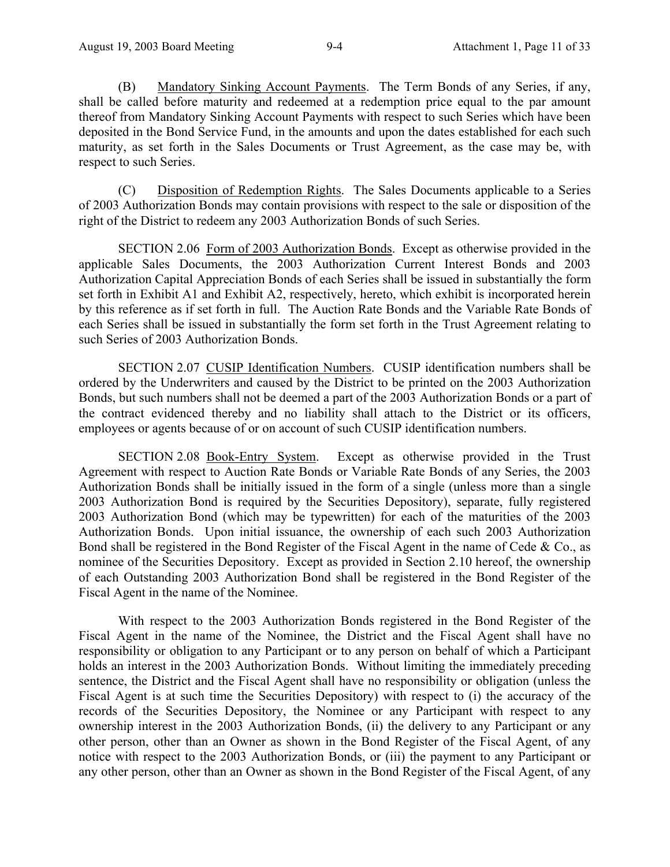(B) Mandatory Sinking Account Payments. The Term Bonds of any Series, if any, shall be called before maturity and redeemed at a redemption price equal to the par amount thereof from Mandatory Sinking Account Payments with respect to such Series which have been deposited in the Bond Service Fund, in the amounts and upon the dates established for each such maturity, as set forth in the Sales Documents or Trust Agreement, as the case may be, with respect to such Series.

(C) Disposition of Redemption Rights. The Sales Documents applicable to a Series of 2003 Authorization Bonds may contain provisions with respect to the sale or disposition of the right of the District to redeem any 2003 Authorization Bonds of such Series.

SECTION 2.06 Form of 2003 Authorization Bonds. Except as otherwise provided in the applicable Sales Documents, the 2003 Authorization Current Interest Bonds and 2003 Authorization Capital Appreciation Bonds of each Series shall be issued in substantially the form set forth in Exhibit A1 and Exhibit A2, respectively, hereto, which exhibit is incorporated herein by this reference as if set forth in full. The Auction Rate Bonds and the Variable Rate Bonds of each Series shall be issued in substantially the form set forth in the Trust Agreement relating to such Series of 2003 Authorization Bonds.

SECTION 2.07 CUSIP Identification Numbers. CUSIP identification numbers shall be ordered by the Underwriters and caused by the District to be printed on the 2003 Authorization Bonds, but such numbers shall not be deemed a part of the 2003 Authorization Bonds or a part of the contract evidenced thereby and no liability shall attach to the District or its officers, employees or agents because of or on account of such CUSIP identification numbers.

SECTION 2.08 Book-Entry System. Except as otherwise provided in the Trust Agreement with respect to Auction Rate Bonds or Variable Rate Bonds of any Series, the 2003 Authorization Bonds shall be initially issued in the form of a single (unless more than a single 2003 Authorization Bond is required by the Securities Depository), separate, fully registered 2003 Authorization Bond (which may be typewritten) for each of the maturities of the 2003 Authorization Bonds. Upon initial issuance, the ownership of each such 2003 Authorization Bond shall be registered in the Bond Register of the Fiscal Agent in the name of Cede & Co., as nominee of the Securities Depository. Except as provided in Section 2.10 hereof, the ownership of each Outstanding 2003 Authorization Bond shall be registered in the Bond Register of the Fiscal Agent in the name of the Nominee.

With respect to the 2003 Authorization Bonds registered in the Bond Register of the Fiscal Agent in the name of the Nominee, the District and the Fiscal Agent shall have no responsibility or obligation to any Participant or to any person on behalf of which a Participant holds an interest in the 2003 Authorization Bonds. Without limiting the immediately preceding sentence, the District and the Fiscal Agent shall have no responsibility or obligation (unless the Fiscal Agent is at such time the Securities Depository) with respect to (i) the accuracy of the records of the Securities Depository, the Nominee or any Participant with respect to any ownership interest in the 2003 Authorization Bonds, (ii) the delivery to any Participant or any other person, other than an Owner as shown in the Bond Register of the Fiscal Agent, of any notice with respect to the 2003 Authorization Bonds, or (iii) the payment to any Participant or any other person, other than an Owner as shown in the Bond Register of the Fiscal Agent, of any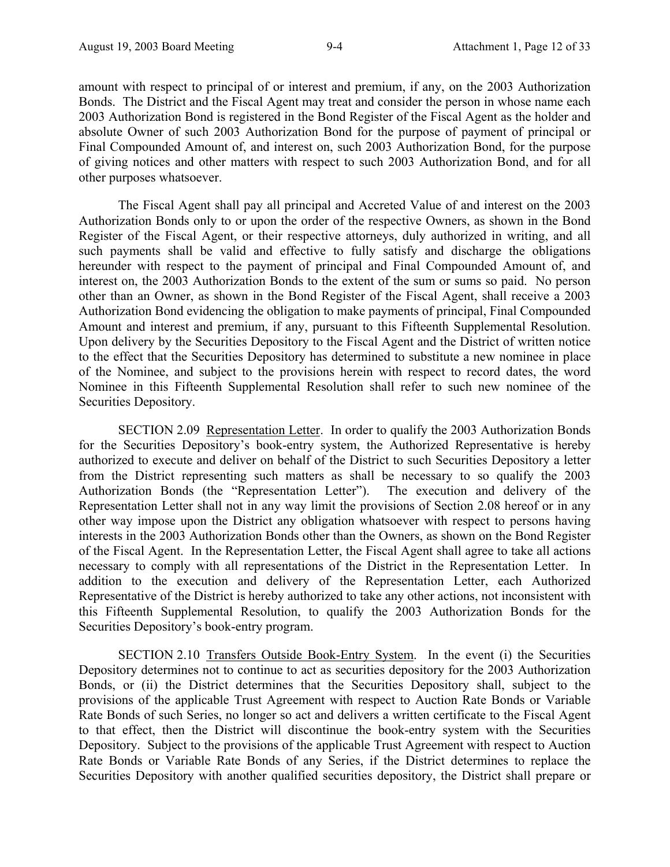amount with respect to principal of or interest and premium, if any, on the 2003 Authorization Bonds. The District and the Fiscal Agent may treat and consider the person in whose name each 2003 Authorization Bond is registered in the Bond Register of the Fiscal Agent as the holder and absolute Owner of such 2003 Authorization Bond for the purpose of payment of principal or Final Compounded Amount of, and interest on, such 2003 Authorization Bond, for the purpose of giving notices and other matters with respect to such 2003 Authorization Bond, and for all other purposes whatsoever.

The Fiscal Agent shall pay all principal and Accreted Value of and interest on the 2003 Authorization Bonds only to or upon the order of the respective Owners, as shown in the Bond Register of the Fiscal Agent, or their respective attorneys, duly authorized in writing, and all such payments shall be valid and effective to fully satisfy and discharge the obligations hereunder with respect to the payment of principal and Final Compounded Amount of, and interest on, the 2003 Authorization Bonds to the extent of the sum or sums so paid. No person other than an Owner, as shown in the Bond Register of the Fiscal Agent, shall receive a 2003 Authorization Bond evidencing the obligation to make payments of principal, Final Compounded Amount and interest and premium, if any, pursuant to this Fifteenth Supplemental Resolution. Upon delivery by the Securities Depository to the Fiscal Agent and the District of written notice to the effect that the Securities Depository has determined to substitute a new nominee in place of the Nominee, and subject to the provisions herein with respect to record dates, the word Nominee in this Fifteenth Supplemental Resolution shall refer to such new nominee of the Securities Depository.

SECTION 2.09 Representation Letter. In order to qualify the 2003 Authorization Bonds for the Securities Depository's book-entry system, the Authorized Representative is hereby authorized to execute and deliver on behalf of the District to such Securities Depository a letter from the District representing such matters as shall be necessary to so qualify the 2003 Authorization Bonds (the "Representation Letter"). The execution and delivery of the Representation Letter shall not in any way limit the provisions of Section 2.08 hereof or in any other way impose upon the District any obligation whatsoever with respect to persons having interests in the 2003 Authorization Bonds other than the Owners, as shown on the Bond Register of the Fiscal Agent. In the Representation Letter, the Fiscal Agent shall agree to take all actions necessary to comply with all representations of the District in the Representation Letter. In addition to the execution and delivery of the Representation Letter, each Authorized Representative of the District is hereby authorized to take any other actions, not inconsistent with this Fifteenth Supplemental Resolution, to qualify the 2003 Authorization Bonds for the Securities Depository's book-entry program.

SECTION 2.10 Transfers Outside Book-Entry System. In the event (i) the Securities Depository determines not to continue to act as securities depository for the 2003 Authorization Bonds, or (ii) the District determines that the Securities Depository shall, subject to the provisions of the applicable Trust Agreement with respect to Auction Rate Bonds or Variable Rate Bonds of such Series, no longer so act and delivers a written certificate to the Fiscal Agent to that effect, then the District will discontinue the book-entry system with the Securities Depository. Subject to the provisions of the applicable Trust Agreement with respect to Auction Rate Bonds or Variable Rate Bonds of any Series, if the District determines to replace the Securities Depository with another qualified securities depository, the District shall prepare or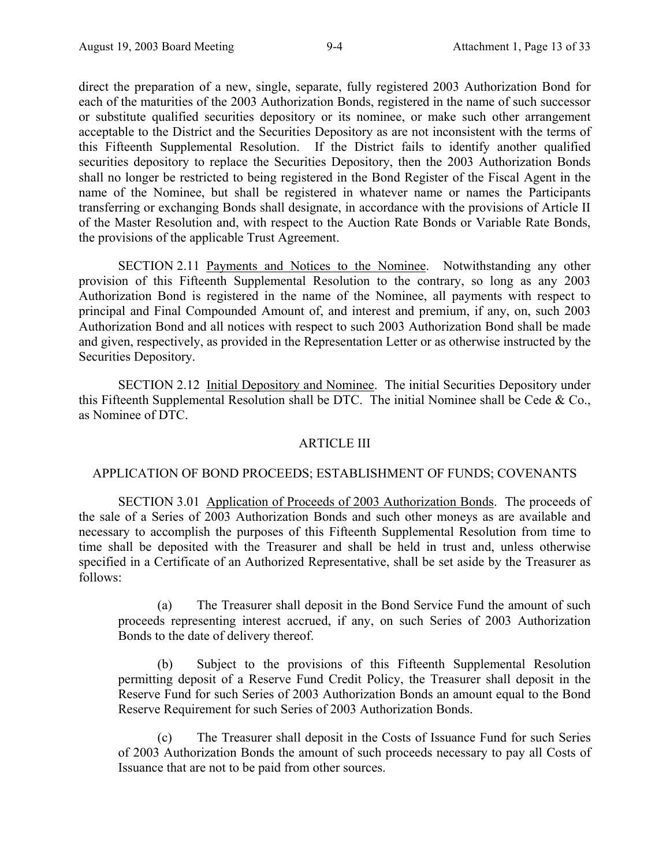direct the preparation of a new, single, separate, fully registered 2003 Authorization Bond for each of the maturities of the 2003 Authorization Bonds, registered in the name of such successor or substitute qualified securities depository or its nominee, or make such other arrangement acceptable to the District and the Securities Depository as are not inconsistent with the terms of this Fifteenth Supplemental Resolution. If the District fails to identify another qualified securities depository to replace the Securities Depository, then the 2003 Authorization Bonds shall no longer be restricted to being registered in the Bond Register of the Fiscal Agent in the name of the Nominee, but shall be registered in whatever name or names the Participants transferring or exchanging Bonds shall designate, in accordance with the provisions of Article II of the Master Resolution and, with respect to the Auction Rate Bonds or Variable Rate Bonds, the provisions of the applicable Trust Agreement.

SECTION 2.11 Payments and Notices to the Nominee. Notwithstanding any other provision of this Fifteenth Supplemental Resolution to the contrary, so long as any 2003 Authorization Bond is registered in the name of the Nominee, all payments with respect to principal and Final Compounded Amount of, and interest and premium, if any, on, such 2003 Authorization Bond and all notices with respect to such 2003 Authorization Bond shall be made and given, respectively, as provided in the Representation Letter or as otherwise instructed by the Securities Depository.

SECTION 2.12 Initial Depository and Nominee. The initial Securities Depository under this Fifteenth Supplemental Resolution shall be DTC. The initial Nominee shall be Cede & Co., as Nominee of DTC.

### ARTICLE III

## APPLICATION OF BOND PROCEEDS; ESTABLISHMENT OF FUNDS; COVENANTS

SECTION 3.01 Application of Proceeds of 2003 Authorization Bonds. The proceeds of the sale of a Series of 2003 Authorization Bonds and such other moneys as are available and necessary to accomplish the purposes of this Fifteenth Supplemental Resolution from time to time shall be deposited with the Treasurer and shall be held in trust and, unless otherwise specified in a Certificate of an Authorized Representative, shall be set aside by the Treasurer as follows:

(a) The Treasurer shall deposit in the Bond Service Fund the amount of such proceeds representing interest accrued, if any, on such Series of 2003 Authorization Bonds to the date of delivery thereof.

(b) Subject to the provisions of this Fifteenth Supplemental Resolution permitting deposit of a Reserve Fund Credit Policy, the Treasurer shall deposit in the Reserve Fund for such Series of 2003 Authorization Bonds an amount equal to the Bond Reserve Requirement for such Series of 2003 Authorization Bonds.

(c) The Treasurer shall deposit in the Costs of Issuance Fund for such Series of 2003 Authorization Bonds the amount of such proceeds necessary to pay all Costs of Issuance that are not to be paid from other sources.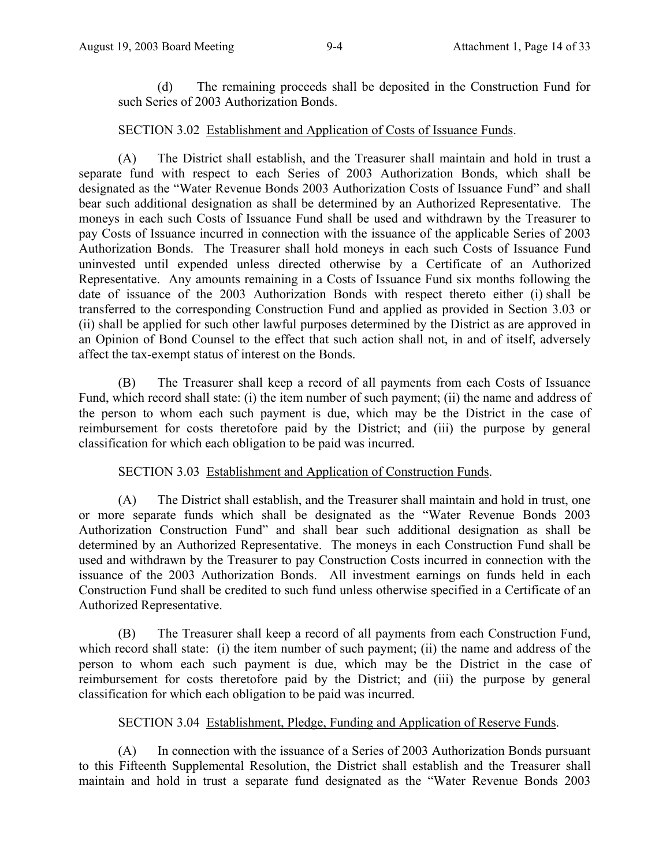(d) The remaining proceeds shall be deposited in the Construction Fund for such Series of 2003 Authorization Bonds.

## SECTION 3.02 Establishment and Application of Costs of Issuance Funds.

(A) The District shall establish, and the Treasurer shall maintain and hold in trust a separate fund with respect to each Series of 2003 Authorization Bonds, which shall be designated as the "Water Revenue Bonds 2003 Authorization Costs of Issuance Fund" and shall bear such additional designation as shall be determined by an Authorized Representative. The moneys in each such Costs of Issuance Fund shall be used and withdrawn by the Treasurer to pay Costs of Issuance incurred in connection with the issuance of the applicable Series of 2003 Authorization Bonds. The Treasurer shall hold moneys in each such Costs of Issuance Fund uninvested until expended unless directed otherwise by a Certificate of an Authorized Representative. Any amounts remaining in a Costs of Issuance Fund six months following the date of issuance of the 2003 Authorization Bonds with respect thereto either (i) shall be transferred to the corresponding Construction Fund and applied as provided in Section 3.03 or (ii) shall be applied for such other lawful purposes determined by the District as are approved in an Opinion of Bond Counsel to the effect that such action shall not, in and of itself, adversely affect the tax-exempt status of interest on the Bonds.

(B) The Treasurer shall keep a record of all payments from each Costs of Issuance Fund, which record shall state: (i) the item number of such payment; (ii) the name and address of the person to whom each such payment is due, which may be the District in the case of reimbursement for costs theretofore paid by the District; and (iii) the purpose by general classification for which each obligation to be paid was incurred.

## SECTION 3.03 Establishment and Application of Construction Funds.

(A) The District shall establish, and the Treasurer shall maintain and hold in trust, one or more separate funds which shall be designated as the "Water Revenue Bonds 2003 Authorization Construction Fund" and shall bear such additional designation as shall be determined by an Authorized Representative. The moneys in each Construction Fund shall be used and withdrawn by the Treasurer to pay Construction Costs incurred in connection with the issuance of the 2003 Authorization Bonds. All investment earnings on funds held in each Construction Fund shall be credited to such fund unless otherwise specified in a Certificate of an Authorized Representative.

(B) The Treasurer shall keep a record of all payments from each Construction Fund, which record shall state: (i) the item number of such payment; (ii) the name and address of the person to whom each such payment is due, which may be the District in the case of reimbursement for costs theretofore paid by the District; and (iii) the purpose by general classification for which each obligation to be paid was incurred.

## SECTION 3.04 Establishment, Pledge, Funding and Application of Reserve Funds.

(A) In connection with the issuance of a Series of 2003 Authorization Bonds pursuant to this Fifteenth Supplemental Resolution, the District shall establish and the Treasurer shall maintain and hold in trust a separate fund designated as the "Water Revenue Bonds 2003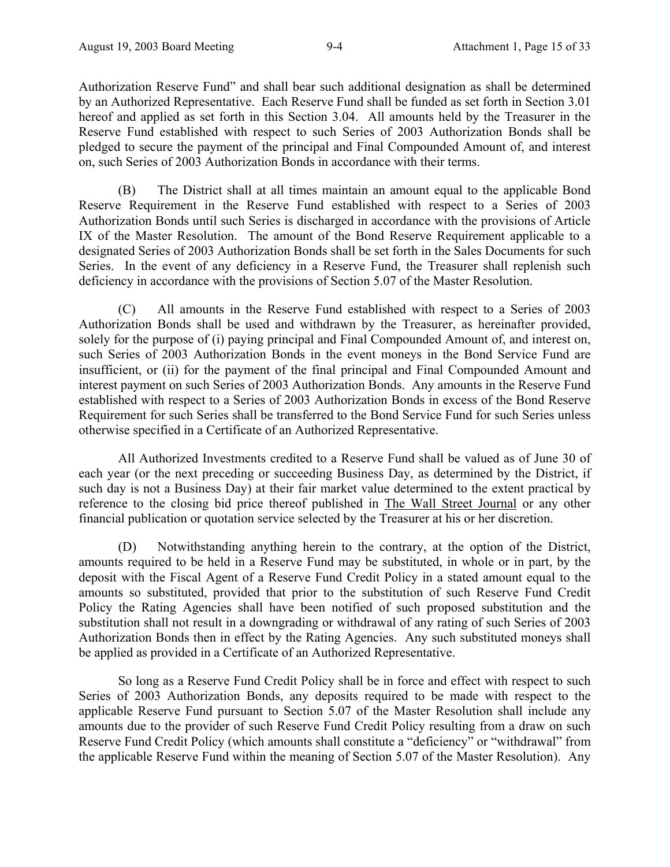Authorization Reserve Fund" and shall bear such additional designation as shall be determined by an Authorized Representative. Each Reserve Fund shall be funded as set forth in Section 3.01 hereof and applied as set forth in this Section 3.04. All amounts held by the Treasurer in the Reserve Fund established with respect to such Series of 2003 Authorization Bonds shall be pledged to secure the payment of the principal and Final Compounded Amount of, and interest on, such Series of 2003 Authorization Bonds in accordance with their terms.

(B) The District shall at all times maintain an amount equal to the applicable Bond Reserve Requirement in the Reserve Fund established with respect to a Series of 2003 Authorization Bonds until such Series is discharged in accordance with the provisions of Article IX of the Master Resolution. The amount of the Bond Reserve Requirement applicable to a designated Series of 2003 Authorization Bonds shall be set forth in the Sales Documents for such Series. In the event of any deficiency in a Reserve Fund, the Treasurer shall replenish such deficiency in accordance with the provisions of Section 5.07 of the Master Resolution.

(C) All amounts in the Reserve Fund established with respect to a Series of 2003 Authorization Bonds shall be used and withdrawn by the Treasurer, as hereinafter provided, solely for the purpose of (i) paying principal and Final Compounded Amount of, and interest on, such Series of 2003 Authorization Bonds in the event moneys in the Bond Service Fund are insufficient, or (ii) for the payment of the final principal and Final Compounded Amount and interest payment on such Series of 2003 Authorization Bonds. Any amounts in the Reserve Fund established with respect to a Series of 2003 Authorization Bonds in excess of the Bond Reserve Requirement for such Series shall be transferred to the Bond Service Fund for such Series unless otherwise specified in a Certificate of an Authorized Representative.

All Authorized Investments credited to a Reserve Fund shall be valued as of June 30 of each year (or the next preceding or succeeding Business Day, as determined by the District, if such day is not a Business Day) at their fair market value determined to the extent practical by reference to the closing bid price thereof published in The Wall Street Journal or any other financial publication or quotation service selected by the Treasurer at his or her discretion.

(D) Notwithstanding anything herein to the contrary, at the option of the District, amounts required to be held in a Reserve Fund may be substituted, in whole or in part, by the deposit with the Fiscal Agent of a Reserve Fund Credit Policy in a stated amount equal to the amounts so substituted, provided that prior to the substitution of such Reserve Fund Credit Policy the Rating Agencies shall have been notified of such proposed substitution and the substitution shall not result in a downgrading or withdrawal of any rating of such Series of 2003 Authorization Bonds then in effect by the Rating Agencies. Any such substituted moneys shall be applied as provided in a Certificate of an Authorized Representative.

So long as a Reserve Fund Credit Policy shall be in force and effect with respect to such Series of 2003 Authorization Bonds, any deposits required to be made with respect to the applicable Reserve Fund pursuant to Section 5.07 of the Master Resolution shall include any amounts due to the provider of such Reserve Fund Credit Policy resulting from a draw on such Reserve Fund Credit Policy (which amounts shall constitute a "deficiency" or "withdrawal" from the applicable Reserve Fund within the meaning of Section 5.07 of the Master Resolution). Any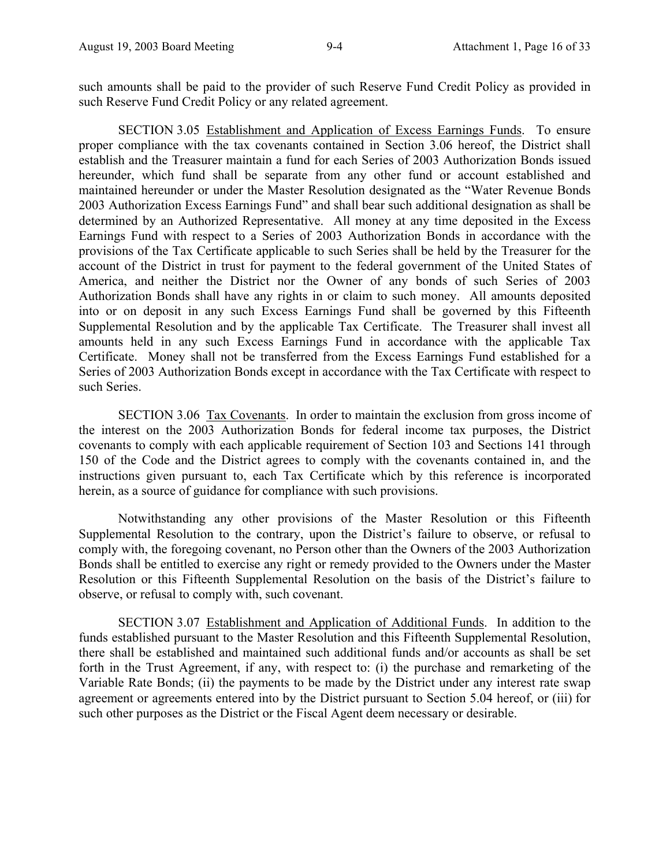SECTION 3.05 Establishment and Application of Excess Earnings Funds. To ensure proper compliance with the tax covenants contained in Section 3.06 hereof, the District shall establish and the Treasurer maintain a fund for each Series of 2003 Authorization Bonds issued hereunder, which fund shall be separate from any other fund or account established and maintained hereunder or under the Master Resolution designated as the "Water Revenue Bonds 2003 Authorization Excess Earnings Fund" and shall bear such additional designation as shall be determined by an Authorized Representative. All money at any time deposited in the Excess Earnings Fund with respect to a Series of 2003 Authorization Bonds in accordance with the provisions of the Tax Certificate applicable to such Series shall be held by the Treasurer for the account of the District in trust for payment to the federal government of the United States of America, and neither the District nor the Owner of any bonds of such Series of 2003 Authorization Bonds shall have any rights in or claim to such money. All amounts deposited into or on deposit in any such Excess Earnings Fund shall be governed by this Fifteenth Supplemental Resolution and by the applicable Tax Certificate. The Treasurer shall invest all amounts held in any such Excess Earnings Fund in accordance with the applicable Tax Certificate. Money shall not be transferred from the Excess Earnings Fund established for a Series of 2003 Authorization Bonds except in accordance with the Tax Certificate with respect to such Series.

SECTION 3.06 Tax Covenants. In order to maintain the exclusion from gross income of the interest on the 2003 Authorization Bonds for federal income tax purposes, the District covenants to comply with each applicable requirement of Section 103 and Sections 141 through 150 of the Code and the District agrees to comply with the covenants contained in, and the instructions given pursuant to, each Tax Certificate which by this reference is incorporated herein, as a source of guidance for compliance with such provisions.

Notwithstanding any other provisions of the Master Resolution or this Fifteenth Supplemental Resolution to the contrary, upon the District's failure to observe, or refusal to comply with, the foregoing covenant, no Person other than the Owners of the 2003 Authorization Bonds shall be entitled to exercise any right or remedy provided to the Owners under the Master Resolution or this Fifteenth Supplemental Resolution on the basis of the District's failure to observe, or refusal to comply with, such covenant.

SECTION 3.07 Establishment and Application of Additional Funds. In addition to the funds established pursuant to the Master Resolution and this Fifteenth Supplemental Resolution, there shall be established and maintained such additional funds and/or accounts as shall be set forth in the Trust Agreement, if any, with respect to: (i) the purchase and remarketing of the Variable Rate Bonds; (ii) the payments to be made by the District under any interest rate swap agreement or agreements entered into by the District pursuant to Section 5.04 hereof, or (iii) for such other purposes as the District or the Fiscal Agent deem necessary or desirable.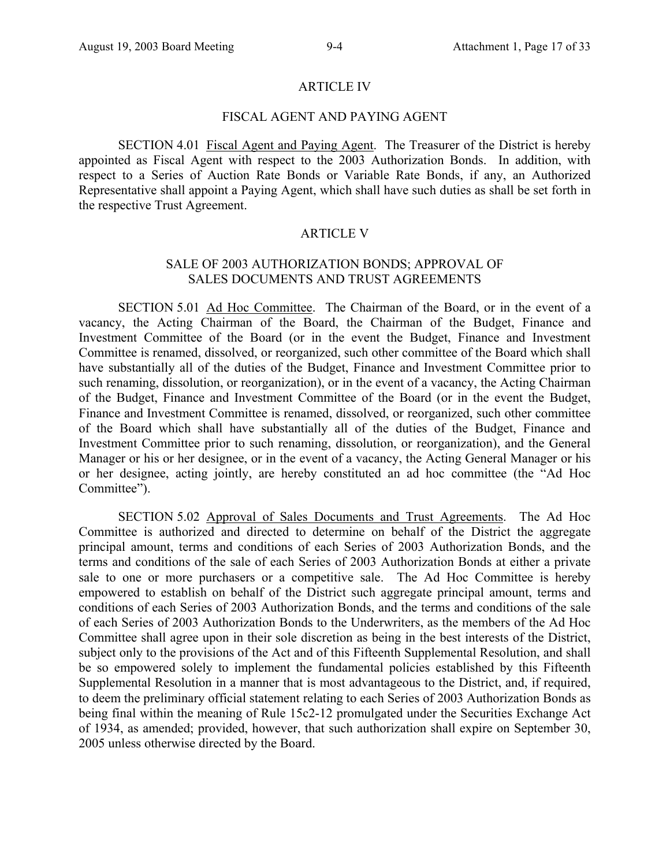#### ARTICLE IV

## FISCAL AGENT AND PAYING AGENT

SECTION 4.01 Fiscal Agent and Paying Agent. The Treasurer of the District is hereby appointed as Fiscal Agent with respect to the 2003 Authorization Bonds. In addition, with respect to a Series of Auction Rate Bonds or Variable Rate Bonds, if any, an Authorized Representative shall appoint a Paying Agent, which shall have such duties as shall be set forth in the respective Trust Agreement.

#### ARTICLE V

## SALE OF 2003 AUTHORIZATION BONDS; APPROVAL OF SALES DOCUMENTS AND TRUST AGREEMENTS

SECTION 5.01 Ad Hoc Committee. The Chairman of the Board, or in the event of a vacancy, the Acting Chairman of the Board, the Chairman of the Budget, Finance and Investment Committee of the Board (or in the event the Budget, Finance and Investment Committee is renamed, dissolved, or reorganized, such other committee of the Board which shall have substantially all of the duties of the Budget, Finance and Investment Committee prior to such renaming, dissolution, or reorganization), or in the event of a vacancy, the Acting Chairman of the Budget, Finance and Investment Committee of the Board (or in the event the Budget, Finance and Investment Committee is renamed, dissolved, or reorganized, such other committee of the Board which shall have substantially all of the duties of the Budget, Finance and Investment Committee prior to such renaming, dissolution, or reorganization), and the General Manager or his or her designee, or in the event of a vacancy, the Acting General Manager or his or her designee, acting jointly, are hereby constituted an ad hoc committee (the "Ad Hoc Committee").

SECTION 5.02 Approval of Sales Documents and Trust Agreements. The Ad Hoc Committee is authorized and directed to determine on behalf of the District the aggregate principal amount, terms and conditions of each Series of 2003 Authorization Bonds, and the terms and conditions of the sale of each Series of 2003 Authorization Bonds at either a private sale to one or more purchasers or a competitive sale. The Ad Hoc Committee is hereby empowered to establish on behalf of the District such aggregate principal amount, terms and conditions of each Series of 2003 Authorization Bonds, and the terms and conditions of the sale of each Series of 2003 Authorization Bonds to the Underwriters, as the members of the Ad Hoc Committee shall agree upon in their sole discretion as being in the best interests of the District, subject only to the provisions of the Act and of this Fifteenth Supplemental Resolution, and shall be so empowered solely to implement the fundamental policies established by this Fifteenth Supplemental Resolution in a manner that is most advantageous to the District, and, if required, to deem the preliminary official statement relating to each Series of 2003 Authorization Bonds as being final within the meaning of Rule 15c2-12 promulgated under the Securities Exchange Act of 1934, as amended; provided, however, that such authorization shall expire on September 30, 2005 unless otherwise directed by the Board.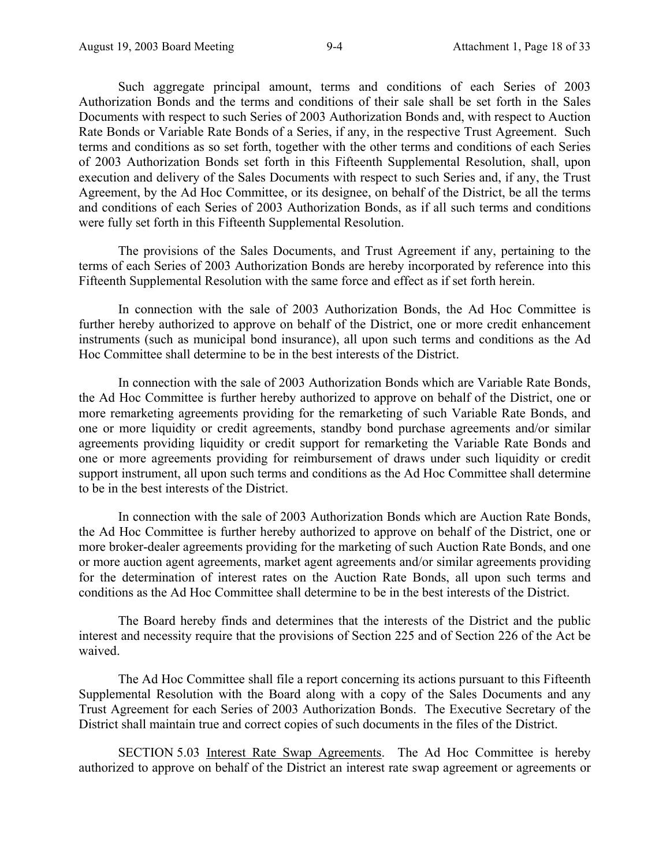Such aggregate principal amount, terms and conditions of each Series of 2003 Authorization Bonds and the terms and conditions of their sale shall be set forth in the Sales Documents with respect to such Series of 2003 Authorization Bonds and, with respect to Auction Rate Bonds or Variable Rate Bonds of a Series, if any, in the respective Trust Agreement. Such terms and conditions as so set forth, together with the other terms and conditions of each Series of 2003 Authorization Bonds set forth in this Fifteenth Supplemental Resolution, shall, upon execution and delivery of the Sales Documents with respect to such Series and, if any, the Trust Agreement, by the Ad Hoc Committee, or its designee, on behalf of the District, be all the terms and conditions of each Series of 2003 Authorization Bonds, as if all such terms and conditions were fully set forth in this Fifteenth Supplemental Resolution.

The provisions of the Sales Documents, and Trust Agreement if any, pertaining to the terms of each Series of 2003 Authorization Bonds are hereby incorporated by reference into this Fifteenth Supplemental Resolution with the same force and effect as if set forth herein.

In connection with the sale of 2003 Authorization Bonds, the Ad Hoc Committee is further hereby authorized to approve on behalf of the District, one or more credit enhancement instruments (such as municipal bond insurance), all upon such terms and conditions as the Ad Hoc Committee shall determine to be in the best interests of the District.

In connection with the sale of 2003 Authorization Bonds which are Variable Rate Bonds, the Ad Hoc Committee is further hereby authorized to approve on behalf of the District, one or more remarketing agreements providing for the remarketing of such Variable Rate Bonds, and one or more liquidity or credit agreements, standby bond purchase agreements and/or similar agreements providing liquidity or credit support for remarketing the Variable Rate Bonds and one or more agreements providing for reimbursement of draws under such liquidity or credit support instrument, all upon such terms and conditions as the Ad Hoc Committee shall determine to be in the best interests of the District.

In connection with the sale of 2003 Authorization Bonds which are Auction Rate Bonds, the Ad Hoc Committee is further hereby authorized to approve on behalf of the District, one or more broker-dealer agreements providing for the marketing of such Auction Rate Bonds, and one or more auction agent agreements, market agent agreements and/or similar agreements providing for the determination of interest rates on the Auction Rate Bonds, all upon such terms and conditions as the Ad Hoc Committee shall determine to be in the best interests of the District.

The Board hereby finds and determines that the interests of the District and the public interest and necessity require that the provisions of Section 225 and of Section 226 of the Act be waived.

The Ad Hoc Committee shall file a report concerning its actions pursuant to this Fifteenth Supplemental Resolution with the Board along with a copy of the Sales Documents and any Trust Agreement for each Series of 2003 Authorization Bonds. The Executive Secretary of the District shall maintain true and correct copies of such documents in the files of the District.

SECTION 5.03 Interest Rate Swap Agreements. The Ad Hoc Committee is hereby authorized to approve on behalf of the District an interest rate swap agreement or agreements or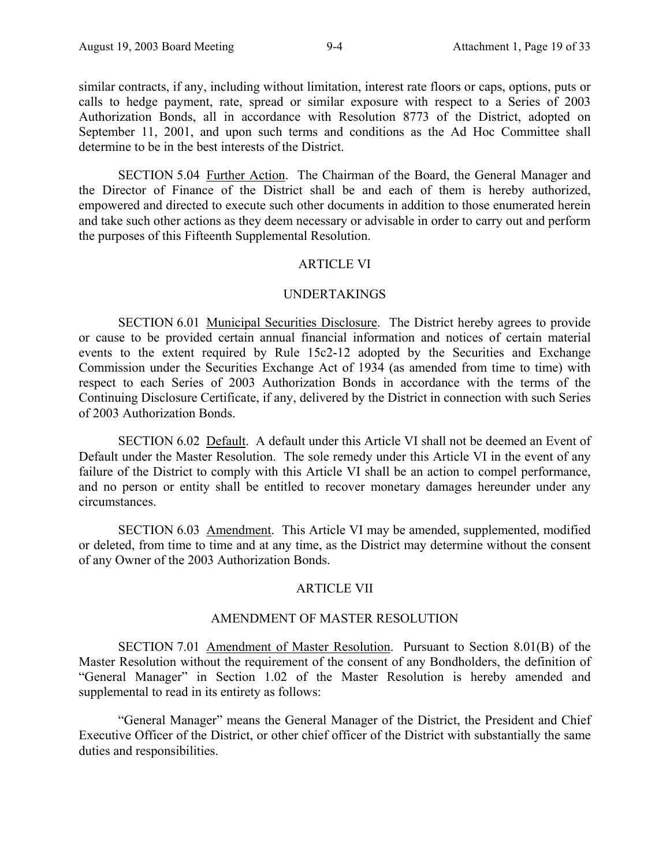similar contracts, if any, including without limitation, interest rate floors or caps, options, puts or calls to hedge payment, rate, spread or similar exposure with respect to a Series of 2003 Authorization Bonds, all in accordance with Resolution 8773 of the District, adopted on September 11, 2001, and upon such terms and conditions as the Ad Hoc Committee shall determine to be in the best interests of the District.

SECTION 5.04 Further Action. The Chairman of the Board, the General Manager and the Director of Finance of the District shall be and each of them is hereby authorized, empowered and directed to execute such other documents in addition to those enumerated herein and take such other actions as they deem necessary or advisable in order to carry out and perform the purposes of this Fifteenth Supplemental Resolution.

## ARTICLE VI

### UNDERTAKINGS

SECTION 6.01 Municipal Securities Disclosure. The District hereby agrees to provide or cause to be provided certain annual financial information and notices of certain material events to the extent required by Rule 15c2-12 adopted by the Securities and Exchange Commission under the Securities Exchange Act of 1934 (as amended from time to time) with respect to each Series of 2003 Authorization Bonds in accordance with the terms of the Continuing Disclosure Certificate, if any, delivered by the District in connection with such Series of 2003 Authorization Bonds.

SECTION 6.02 Default. A default under this Article VI shall not be deemed an Event of Default under the Master Resolution. The sole remedy under this Article VI in the event of any failure of the District to comply with this Article VI shall be an action to compel performance, and no person or entity shall be entitled to recover monetary damages hereunder under any circumstances.

SECTION 6.03 Amendment. This Article VI may be amended, supplemented, modified or deleted, from time to time and at any time, as the District may determine without the consent of any Owner of the 2003 Authorization Bonds.

#### ARTICLE VII

#### AMENDMENT OF MASTER RESOLUTION

SECTION 7.01 Amendment of Master Resolution. Pursuant to Section 8.01(B) of the Master Resolution without the requirement of the consent of any Bondholders, the definition of "General Manager" in Section 1.02 of the Master Resolution is hereby amended and supplemental to read in its entirety as follows:

"General Manager" means the General Manager of the District, the President and Chief Executive Officer of the District, or other chief officer of the District with substantially the same duties and responsibilities.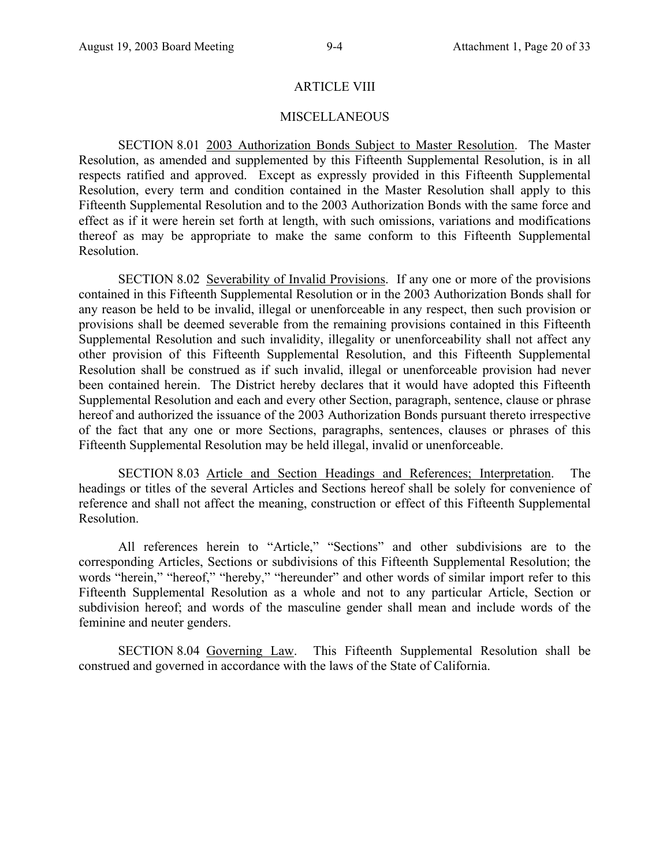### ARTICLE VIII

## **MISCELLANEOUS**

SECTION 8.01 2003 Authorization Bonds Subject to Master Resolution. The Master Resolution, as amended and supplemented by this Fifteenth Supplemental Resolution, is in all respects ratified and approved. Except as expressly provided in this Fifteenth Supplemental Resolution, every term and condition contained in the Master Resolution shall apply to this Fifteenth Supplemental Resolution and to the 2003 Authorization Bonds with the same force and effect as if it were herein set forth at length, with such omissions, variations and modifications thereof as may be appropriate to make the same conform to this Fifteenth Supplemental Resolution.

SECTION 8.02 Severability of Invalid Provisions. If any one or more of the provisions contained in this Fifteenth Supplemental Resolution or in the 2003 Authorization Bonds shall for any reason be held to be invalid, illegal or unenforceable in any respect, then such provision or provisions shall be deemed severable from the remaining provisions contained in this Fifteenth Supplemental Resolution and such invalidity, illegality or unenforceability shall not affect any other provision of this Fifteenth Supplemental Resolution, and this Fifteenth Supplemental Resolution shall be construed as if such invalid, illegal or unenforceable provision had never been contained herein. The District hereby declares that it would have adopted this Fifteenth Supplemental Resolution and each and every other Section, paragraph, sentence, clause or phrase hereof and authorized the issuance of the 2003 Authorization Bonds pursuant thereto irrespective of the fact that any one or more Sections, paragraphs, sentences, clauses or phrases of this Fifteenth Supplemental Resolution may be held illegal, invalid or unenforceable.

SECTION 8.03 Article and Section Headings and References; Interpretation. The headings or titles of the several Articles and Sections hereof shall be solely for convenience of reference and shall not affect the meaning, construction or effect of this Fifteenth Supplemental Resolution.

All references herein to "Article," "Sections" and other subdivisions are to the corresponding Articles, Sections or subdivisions of this Fifteenth Supplemental Resolution; the words "herein," "hereof," "hereby," "hereunder" and other words of similar import refer to this Fifteenth Supplemental Resolution as a whole and not to any particular Article, Section or subdivision hereof; and words of the masculine gender shall mean and include words of the feminine and neuter genders.

SECTION 8.04 Governing Law. This Fifteenth Supplemental Resolution shall be construed and governed in accordance with the laws of the State of California.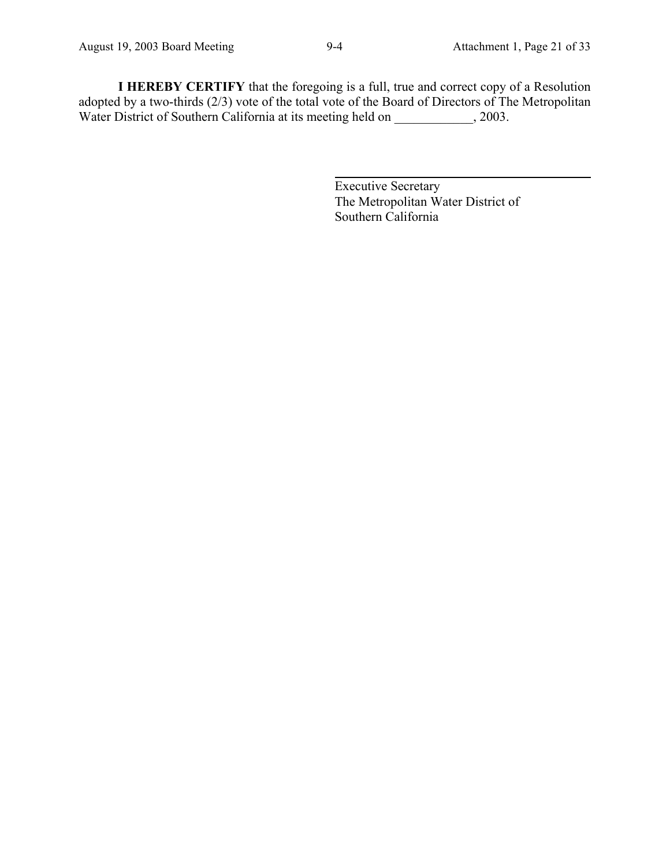**I HEREBY CERTIFY** that the foregoing is a full, true and correct copy of a Resolution adopted by a two-thirds (2/3) vote of the total vote of the Board of Directors of The Metropolitan Water District of Southern California at its meeting held on \_\_\_\_\_\_\_\_\_\_\_, 2003.

 $\overline{a}$ 

Executive Secretary The Metropolitan Water District of Southern California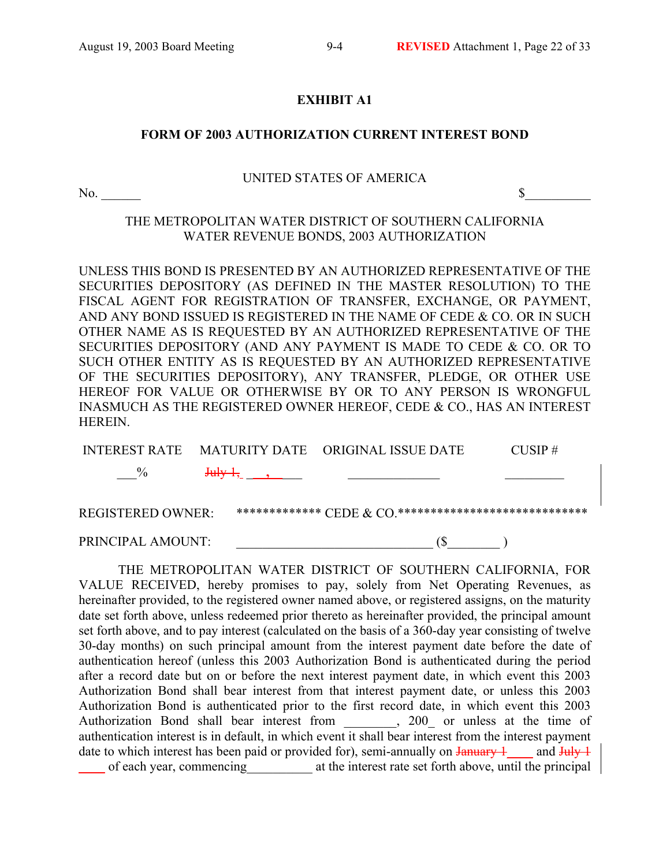## **EXHIBIT A1**

## **FORM OF 2003 AUTHORIZATION CURRENT INTEREST BOND**

### UNITED STATES OF AMERICA

No.  $\sim$ 

## THE METROPOLITAN WATER DISTRICT OF SOUTHERN CALIFORNIA WATER REVENUE BONDS, 2003 AUTHORIZATION

UNLESS THIS BOND IS PRESENTED BY AN AUTHORIZED REPRESENTATIVE OF THE SECURITIES DEPOSITORY (AS DEFINED IN THE MASTER RESOLUTION) TO THE FISCAL AGENT FOR REGISTRATION OF TRANSFER, EXCHANGE, OR PAYMENT, AND ANY BOND ISSUED IS REGISTERED IN THE NAME OF CEDE & CO. OR IN SUCH OTHER NAME AS IS REQUESTED BY AN AUTHORIZED REPRESENTATIVE OF THE SECURITIES DEPOSITORY (AND ANY PAYMENT IS MADE TO CEDE & CO. OR TO SUCH OTHER ENTITY AS IS REQUESTED BY AN AUTHORIZED REPRESENTATIVE OF THE SECURITIES DEPOSITORY), ANY TRANSFER, PLEDGE, OR OTHER USE HEREOF FOR VALUE OR OTHERWISE BY OR TO ANY PERSON IS WRONGFUL INASMUCH AS THE REGISTERED OWNER HEREOF, CEDE & CO., HAS AN INTEREST HEREIN.

| <b>INTEREST RATE</b>     | MATURITY DATE ORIGINAL ISSUE DATE                          | $CI$ ISIP $#$ |
|--------------------------|------------------------------------------------------------|---------------|
| $\frac{0}{2}$            | the company of the company of the company of               |               |
| <b>REGISTERED OWNER:</b> | ************** CEDE $\&$ CO ****************************** |               |
| PRINCIPAL AMOUNT:        |                                                            |               |

THE METROPOLITAN WATER DISTRICT OF SOUTHERN CALIFORNIA, FOR VALUE RECEIVED, hereby promises to pay, solely from Net Operating Revenues, as hereinafter provided, to the registered owner named above, or registered assigns, on the maturity date set forth above, unless redeemed prior thereto as hereinafter provided, the principal amount set forth above, and to pay interest (calculated on the basis of a 360-day year consisting of twelve 30-day months) on such principal amount from the interest payment date before the date of authentication hereof (unless this 2003 Authorization Bond is authenticated during the period after a record date but on or before the next interest payment date, in which event this 2003 Authorization Bond shall bear interest from that interest payment date, or unless this 2003 Authorization Bond is authenticated prior to the first record date, in which event this 2003 Authorization Bond shall bear interest from \_\_\_\_\_\_\_\_, 200\_ or unless at the time of authentication interest is in default, in which event it shall bear interest from the interest payment date to which interest has been paid or provided for), semi-annually on  $\frac{1}{2}$  and  $\frac{1}{2}$ \_\_\_\_ of each year, commencing\_\_\_\_\_\_\_\_\_\_ at the interest rate set forth above, until the principal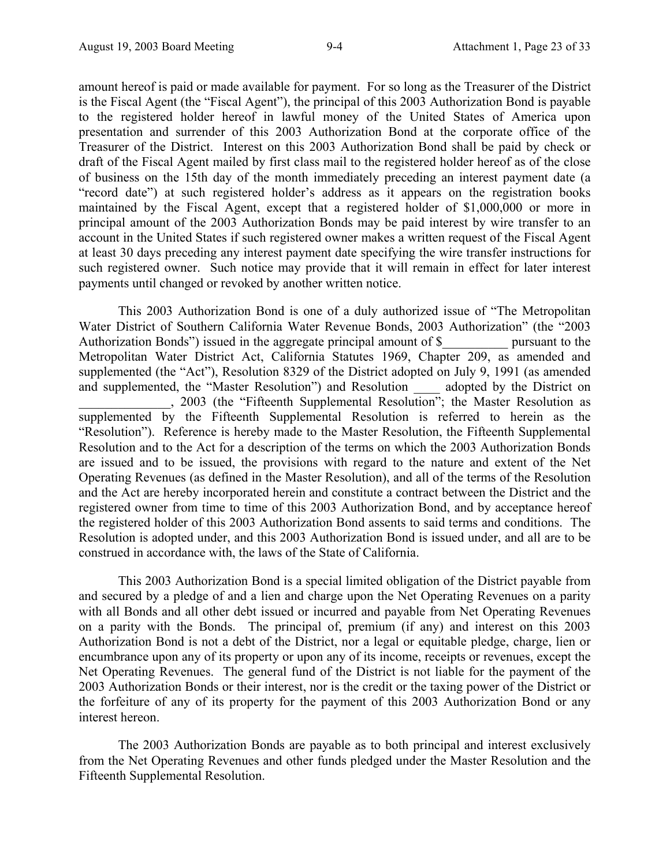amount hereof is paid or made available for payment. For so long as the Treasurer of the District is the Fiscal Agent (the "Fiscal Agent"), the principal of this 2003 Authorization Bond is payable to the registered holder hereof in lawful money of the United States of America upon presentation and surrender of this 2003 Authorization Bond at the corporate office of the Treasurer of the District. Interest on this 2003 Authorization Bond shall be paid by check or draft of the Fiscal Agent mailed by first class mail to the registered holder hereof as of the close of business on the 15th day of the month immediately preceding an interest payment date (a "record date") at such registered holder's address as it appears on the registration books maintained by the Fiscal Agent, except that a registered holder of \$1,000,000 or more in principal amount of the 2003 Authorization Bonds may be paid interest by wire transfer to an account in the United States if such registered owner makes a written request of the Fiscal Agent at least 30 days preceding any interest payment date specifying the wire transfer instructions for such registered owner. Such notice may provide that it will remain in effect for later interest payments until changed or revoked by another written notice.

This 2003 Authorization Bond is one of a duly authorized issue of "The Metropolitan Water District of Southern California Water Revenue Bonds, 2003 Authorization" (the "2003 Authorization Bonds") issued in the aggregate principal amount of \$ pursuant to the Metropolitan Water District Act, California Statutes 1969, Chapter 209, as amended and supplemented (the "Act"), Resolution 8329 of the District adopted on July 9, 1991 (as amended and supplemented, the "Master Resolution") and Resolution adopted by the District on and supplemented, the "Master Resolution") and Resolution ed, the Master Resolution ) and Resolution <u>the adopted</u> by the District on<br>2003 (the "Fifteenth Supplemental Resolution"; the Master Resolution as supplemented by the Fifteenth Supplemental Resolution is referred to herein as the "Resolution"). Reference is hereby made to the Master Resolution, the Fifteenth Supplemental Resolution and to the Act for a description of the terms on which the 2003 Authorization Bonds are issued and to be issued, the provisions with regard to the nature and extent of the Net Operating Revenues (as defined in the Master Resolution), and all of the terms of the Resolution and the Act are hereby incorporated herein and constitute a contract between the District and the registered owner from time to time of this 2003 Authorization Bond, and by acceptance hereof the registered holder of this 2003 Authorization Bond assents to said terms and conditions. The Resolution is adopted under, and this 2003 Authorization Bond is issued under, and all are to be construed in accordance with, the laws of the State of California.

This 2003 Authorization Bond is a special limited obligation of the District payable from and secured by a pledge of and a lien and charge upon the Net Operating Revenues on a parity with all Bonds and all other debt issued or incurred and payable from Net Operating Revenues on a parity with the Bonds. The principal of, premium (if any) and interest on this 2003 Authorization Bond is not a debt of the District, nor a legal or equitable pledge, charge, lien or encumbrance upon any of its property or upon any of its income, receipts or revenues, except the Net Operating Revenues. The general fund of the District is not liable for the payment of the 2003 Authorization Bonds or their interest, nor is the credit or the taxing power of the District or the forfeiture of any of its property for the payment of this 2003 Authorization Bond or any interest hereon.

The 2003 Authorization Bonds are payable as to both principal and interest exclusively from the Net Operating Revenues and other funds pledged under the Master Resolution and the Fifteenth Supplemental Resolution.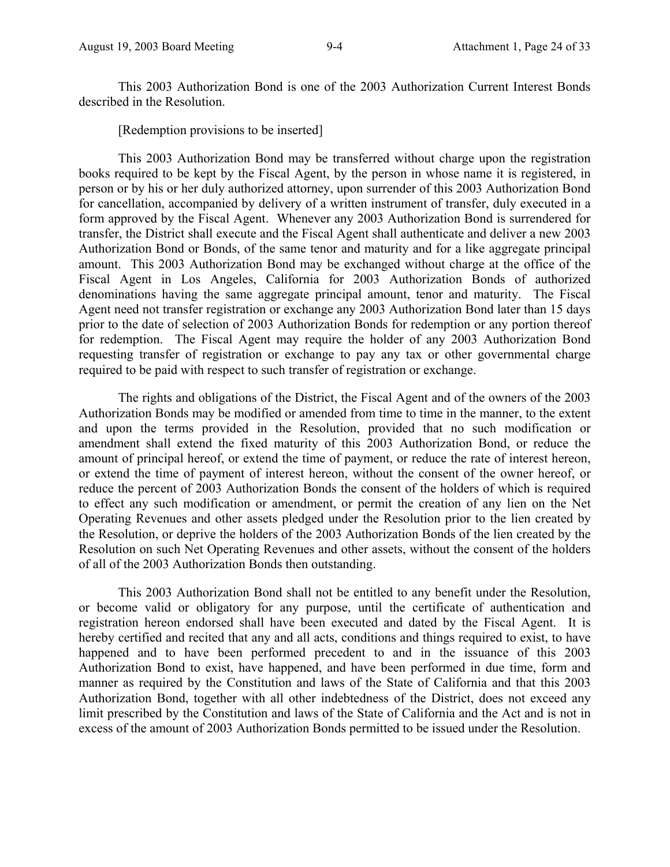This 2003 Authorization Bond is one of the 2003 Authorization Current Interest Bonds described in the Resolution.

[Redemption provisions to be inserted]

This 2003 Authorization Bond may be transferred without charge upon the registration books required to be kept by the Fiscal Agent, by the person in whose name it is registered, in person or by his or her duly authorized attorney, upon surrender of this 2003 Authorization Bond for cancellation, accompanied by delivery of a written instrument of transfer, duly executed in a form approved by the Fiscal Agent. Whenever any 2003 Authorization Bond is surrendered for transfer, the District shall execute and the Fiscal Agent shall authenticate and deliver a new 2003 Authorization Bond or Bonds, of the same tenor and maturity and for a like aggregate principal amount. This 2003 Authorization Bond may be exchanged without charge at the office of the Fiscal Agent in Los Angeles, California for 2003 Authorization Bonds of authorized denominations having the same aggregate principal amount, tenor and maturity. The Fiscal Agent need not transfer registration or exchange any 2003 Authorization Bond later than 15 days prior to the date of selection of 2003 Authorization Bonds for redemption or any portion thereof for redemption. The Fiscal Agent may require the holder of any 2003 Authorization Bond requesting transfer of registration or exchange to pay any tax or other governmental charge required to be paid with respect to such transfer of registration or exchange.

The rights and obligations of the District, the Fiscal Agent and of the owners of the 2003 Authorization Bonds may be modified or amended from time to time in the manner, to the extent and upon the terms provided in the Resolution, provided that no such modification or amendment shall extend the fixed maturity of this 2003 Authorization Bond, or reduce the amount of principal hereof, or extend the time of payment, or reduce the rate of interest hereon, or extend the time of payment of interest hereon, without the consent of the owner hereof, or reduce the percent of 2003 Authorization Bonds the consent of the holders of which is required to effect any such modification or amendment, or permit the creation of any lien on the Net Operating Revenues and other assets pledged under the Resolution prior to the lien created by the Resolution, or deprive the holders of the 2003 Authorization Bonds of the lien created by the Resolution on such Net Operating Revenues and other assets, without the consent of the holders of all of the 2003 Authorization Bonds then outstanding.

This 2003 Authorization Bond shall not be entitled to any benefit under the Resolution, or become valid or obligatory for any purpose, until the certificate of authentication and registration hereon endorsed shall have been executed and dated by the Fiscal Agent. It is hereby certified and recited that any and all acts, conditions and things required to exist, to have happened and to have been performed precedent to and in the issuance of this 2003 Authorization Bond to exist, have happened, and have been performed in due time, form and manner as required by the Constitution and laws of the State of California and that this 2003 Authorization Bond, together with all other indebtedness of the District, does not exceed any limit prescribed by the Constitution and laws of the State of California and the Act and is not in excess of the amount of 2003 Authorization Bonds permitted to be issued under the Resolution.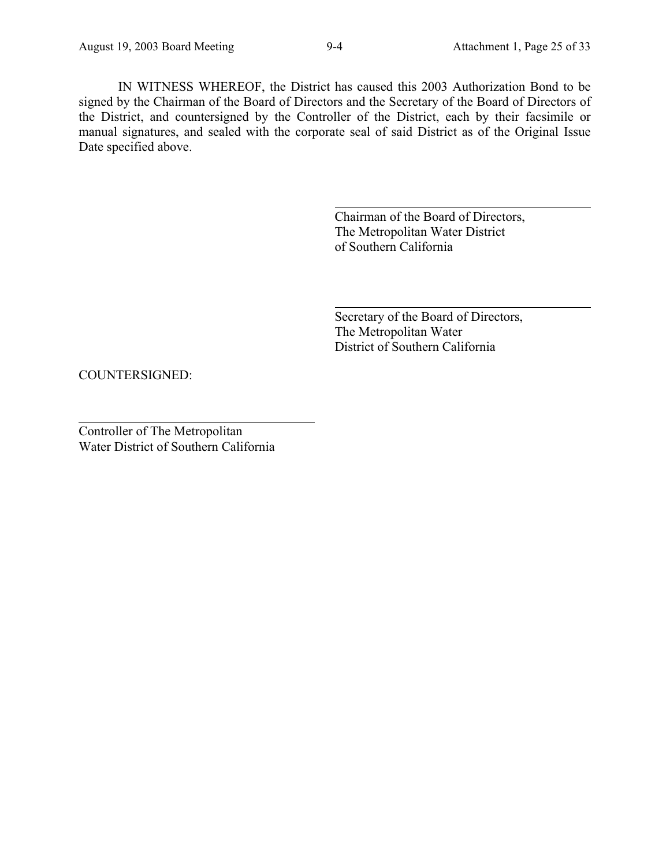IN WITNESS WHEREOF, the District has caused this 2003 Authorization Bond to be signed by the Chairman of the Board of Directors and the Secretary of the Board of Directors of the District, and countersigned by the Controller of the District, each by their facsimile or manual signatures, and sealed with the corporate seal of said District as of the Original Issue Date specified above.

l

 $\overline{a}$ 

Chairman of the Board of Directors, The Metropolitan Water District of Southern California

Secretary of the Board of Directors, The Metropolitan Water District of Southern California

COUNTERSIGNED:

Controller of The Metropolitan Water District of Southern California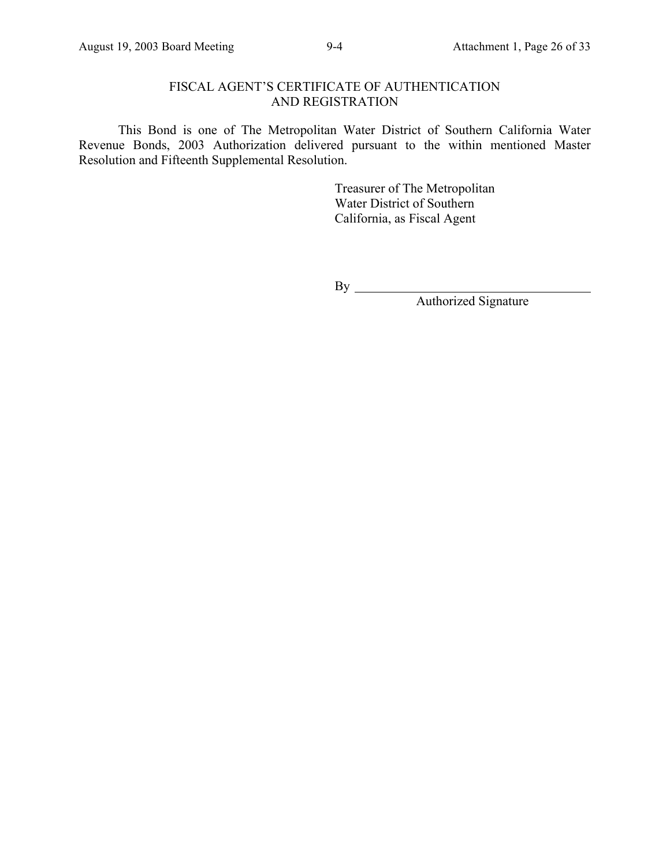## FISCAL AGENT'S CERTIFICATE OF AUTHENTICATION AND REGISTRATION

This Bond is one of The Metropolitan Water District of Southern California Water Revenue Bonds, 2003 Authorization delivered pursuant to the within mentioned Master Resolution and Fifteenth Supplemental Resolution.

> Treasurer of The Metropolitan Water District of Southern California, as Fiscal Agent

By

Authorized Signature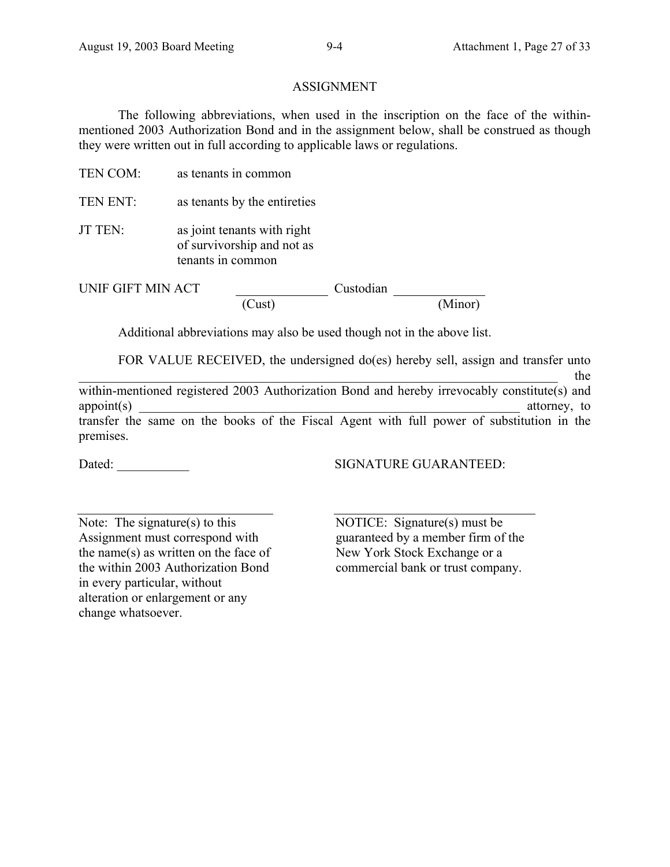## ASSIGNMENT

The following abbreviations, when used in the inscription on the face of the withinmentioned 2003 Authorization Bond and in the assignment below, shall be construed as though they were written out in full according to applicable laws or regulations.

- TEN COM: as tenants in common
- TEN ENT: as tenants by the entireties
- JT TEN: as joint tenants with right of survivorship and not as tenants in common

UNIF GIFT MIN ACT Custodian

(Cust) (Minor)

Additional abbreviations may also be used though not in the above list.

FOR VALUE RECEIVED, the undersigned do(es) hereby sell, assign and transfer unto

\_\_\_\_\_\_\_\_\_\_\_\_\_\_\_\_\_\_\_\_\_\_\_\_\_\_\_\_\_\_\_\_\_\_\_\_\_\_\_\_\_\_\_\_\_\_\_\_\_\_\_\_\_\_\_\_\_\_\_\_\_\_\_\_\_\_\_\_\_\_\_\_\_ the within-mentioned registered 2003 Authorization Bond and hereby irrevocably constitute(s) and appoint(s) and a strongle-strongle-strongle-strongle-strongle-strongle-strongle-strongle-strongle-strongle-strongle-strongle-strongle-strongle-strongle-strongle-strongle-strongle-strongle-strongle-strongle-strongle-strongl transfer the same on the books of the Fiscal Agent with full power of substitution in the premises.

Dated: \_\_\_\_\_\_\_\_\_\_\_ SIGNATURE GUARANTEED:

Note: The signature $(s)$  to this Assignment must correspond with the name(s) as written on the face of the within 2003 Authorization Bond in every particular, without alteration or enlargement or any change whatsoever.

 NOTICE: Signature(s) must be guaranteed by a member firm of the New York Stock Exchange or a commercial bank or trust company.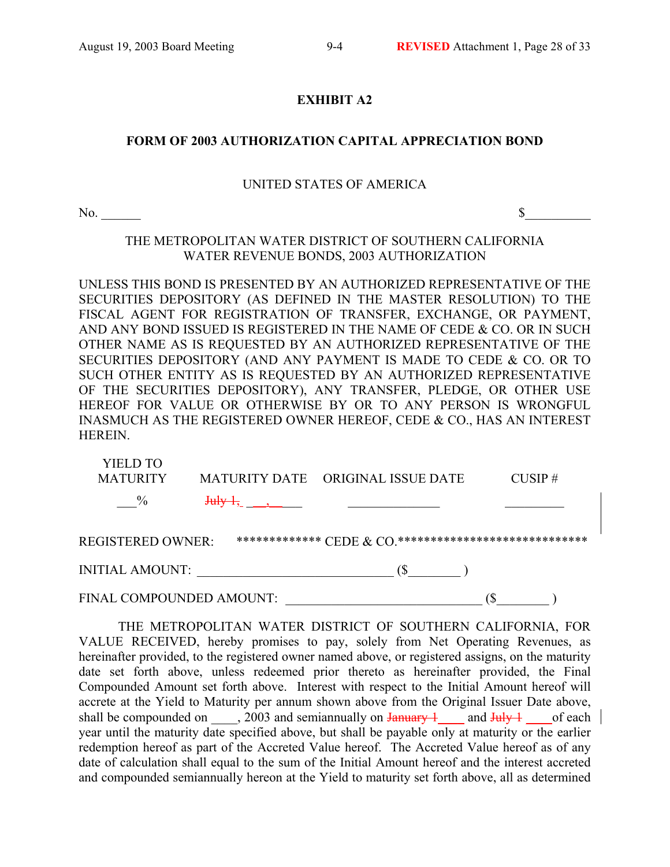## **EXHIBIT A2**

## **FORM OF 2003 AUTHORIZATION CAPITAL APPRECIATION BOND**

#### UNITED STATES OF AMERICA

 $\infty$   $\sim$ 

THE METROPOLITAN WATER DISTRICT OF SOUTHERN CALIFORNIA WATER REVENUE BONDS, 2003 AUTHORIZATION

UNLESS THIS BOND IS PRESENTED BY AN AUTHORIZED REPRESENTATIVE OF THE SECURITIES DEPOSITORY (AS DEFINED IN THE MASTER RESOLUTION) TO THE FISCAL AGENT FOR REGISTRATION OF TRANSFER, EXCHANGE, OR PAYMENT, AND ANY BOND ISSUED IS REGISTERED IN THE NAME OF CEDE & CO. OR IN SUCH OTHER NAME AS IS REQUESTED BY AN AUTHORIZED REPRESENTATIVE OF THE SECURITIES DEPOSITORY (AND ANY PAYMENT IS MADE TO CEDE & CO. OR TO SUCH OTHER ENTITY AS IS REQUESTED BY AN AUTHORIZED REPRESENTATIVE OF THE SECURITIES DEPOSITORY), ANY TRANSFER, PLEDGE, OR OTHER USE HEREOF FOR VALUE OR OTHERWISE BY OR TO ANY PERSON IS WRONGFUL INASMUCH AS THE REGISTERED OWNER HEREOF, CEDE & CO., HAS AN INTEREST HEREIN.

| <b>YIELD TO</b>          |             |                                                            |            |
|--------------------------|-------------|------------------------------------------------------------|------------|
| <b>MATURITY</b>          |             | MATURITY DATE ORIGINAL ISSUE DATE                          | $CUSIP \#$ |
| $\%$                     | $July-1,$ , |                                                            |            |
| REGISTERED OWNER:        |             | ************** CEDE $\&$ CO.****************************** |            |
| INITIAL AMOUNT:          |             |                                                            |            |
| FINAL COMPOUNDED AMOUNT: |             |                                                            | S)         |

THE METROPOLITAN WATER DISTRICT OF SOUTHERN CALIFORNIA, FOR VALUE RECEIVED, hereby promises to pay, solely from Net Operating Revenues, as hereinafter provided, to the registered owner named above, or registered assigns, on the maturity date set forth above, unless redeemed prior thereto as hereinafter provided, the Final Compounded Amount set forth above. Interest with respect to the Initial Amount hereof will accrete at the Yield to Maturity per annum shown above from the Original Issuer Date above, shall be compounded on  $\qquad$ , 2003 and semiannually on January 1 and July 1 of each year until the maturity date specified above, but shall be payable only at maturity or the earlier redemption hereof as part of the Accreted Value hereof. The Accreted Value hereof as of any date of calculation shall equal to the sum of the Initial Amount hereof and the interest accreted and compounded semiannually hereon at the Yield to maturity set forth above, all as determined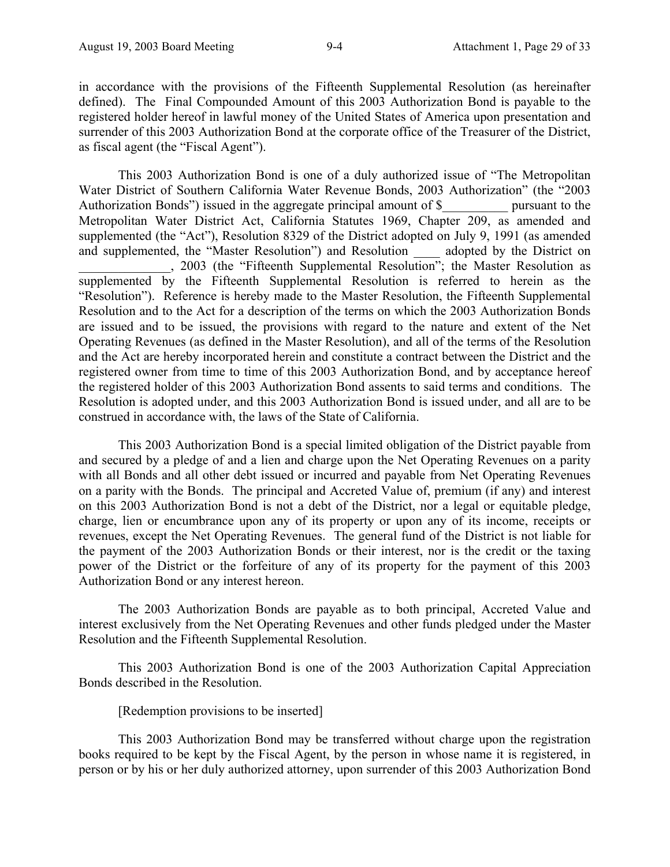in accordance with the provisions of the Fifteenth Supplemental Resolution (as hereinafter defined). The Final Compounded Amount of this 2003 Authorization Bond is payable to the registered holder hereof in lawful money of the United States of America upon presentation and surrender of this 2003 Authorization Bond at the corporate office of the Treasurer of the District, as fiscal agent (the "Fiscal Agent").

This 2003 Authorization Bond is one of a duly authorized issue of "The Metropolitan Water District of Southern California Water Revenue Bonds, 2003 Authorization" (the "2003 Authorization Bonds") issued in the aggregate principal amount of \$ pursuant to the Metropolitan Water District Act, California Statutes 1969, Chapter 209, as amended and supplemented (the "Act"), Resolution 8329 of the District adopted on July 9, 1991 (as amended and supplemented, the "Master Resolution") and Resolution adopted by the District on \_\_\_\_\_\_\_\_\_\_\_\_\_\_, 2003 (the "Fifteenth Supplemental Resolution"; the Master Resolution as supplemented by the Fifteenth Supplemental Resolution is referred to herein as the "Resolution"). Reference is hereby made to the Master Resolution, the Fifteenth Supplemental Resolution and to the Act for a description of the terms on which the 2003 Authorization Bonds are issued and to be issued, the provisions with regard to the nature and extent of the Net Operating Revenues (as defined in the Master Resolution), and all of the terms of the Resolution and the Act are hereby incorporated herein and constitute a contract between the District and the registered owner from time to time of this 2003 Authorization Bond, and by acceptance hereof the registered holder of this 2003 Authorization Bond assents to said terms and conditions. The Resolution is adopted under, and this 2003 Authorization Bond is issued under, and all are to be construed in accordance with, the laws of the State of California.

This 2003 Authorization Bond is a special limited obligation of the District payable from and secured by a pledge of and a lien and charge upon the Net Operating Revenues on a parity with all Bonds and all other debt issued or incurred and payable from Net Operating Revenues on a parity with the Bonds. The principal and Accreted Value of, premium (if any) and interest on this 2003 Authorization Bond is not a debt of the District, nor a legal or equitable pledge, charge, lien or encumbrance upon any of its property or upon any of its income, receipts or revenues, except the Net Operating Revenues. The general fund of the District is not liable for the payment of the 2003 Authorization Bonds or their interest, nor is the credit or the taxing power of the District or the forfeiture of any of its property for the payment of this 2003 Authorization Bond or any interest hereon.

The 2003 Authorization Bonds are payable as to both principal, Accreted Value and interest exclusively from the Net Operating Revenues and other funds pledged under the Master Resolution and the Fifteenth Supplemental Resolution.

This 2003 Authorization Bond is one of the 2003 Authorization Capital Appreciation Bonds described in the Resolution.

[Redemption provisions to be inserted]

This 2003 Authorization Bond may be transferred without charge upon the registration books required to be kept by the Fiscal Agent, by the person in whose name it is registered, in person or by his or her duly authorized attorney, upon surrender of this 2003 Authorization Bond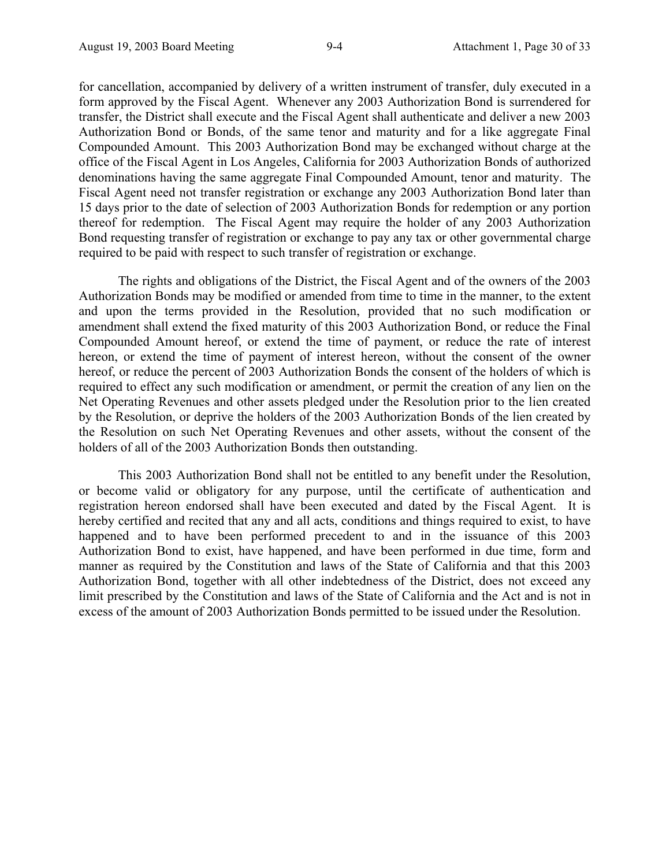for cancellation, accompanied by delivery of a written instrument of transfer, duly executed in a form approved by the Fiscal Agent. Whenever any 2003 Authorization Bond is surrendered for transfer, the District shall execute and the Fiscal Agent shall authenticate and deliver a new 2003 Authorization Bond or Bonds, of the same tenor and maturity and for a like aggregate Final Compounded Amount. This 2003 Authorization Bond may be exchanged without charge at the office of the Fiscal Agent in Los Angeles, California for 2003 Authorization Bonds of authorized denominations having the same aggregate Final Compounded Amount, tenor and maturity. The Fiscal Agent need not transfer registration or exchange any 2003 Authorization Bond later than 15 days prior to the date of selection of 2003 Authorization Bonds for redemption or any portion thereof for redemption. The Fiscal Agent may require the holder of any 2003 Authorization Bond requesting transfer of registration or exchange to pay any tax or other governmental charge required to be paid with respect to such transfer of registration or exchange.

The rights and obligations of the District, the Fiscal Agent and of the owners of the 2003 Authorization Bonds may be modified or amended from time to time in the manner, to the extent and upon the terms provided in the Resolution, provided that no such modification or amendment shall extend the fixed maturity of this 2003 Authorization Bond, or reduce the Final Compounded Amount hereof, or extend the time of payment, or reduce the rate of interest hereon, or extend the time of payment of interest hereon, without the consent of the owner hereof, or reduce the percent of 2003 Authorization Bonds the consent of the holders of which is required to effect any such modification or amendment, or permit the creation of any lien on the Net Operating Revenues and other assets pledged under the Resolution prior to the lien created by the Resolution, or deprive the holders of the 2003 Authorization Bonds of the lien created by the Resolution on such Net Operating Revenues and other assets, without the consent of the holders of all of the 2003 Authorization Bonds then outstanding.

This 2003 Authorization Bond shall not be entitled to any benefit under the Resolution, or become valid or obligatory for any purpose, until the certificate of authentication and registration hereon endorsed shall have been executed and dated by the Fiscal Agent. It is hereby certified and recited that any and all acts, conditions and things required to exist, to have happened and to have been performed precedent to and in the issuance of this 2003 Authorization Bond to exist, have happened, and have been performed in due time, form and manner as required by the Constitution and laws of the State of California and that this 2003 Authorization Bond, together with all other indebtedness of the District, does not exceed any limit prescribed by the Constitution and laws of the State of California and the Act and is not in excess of the amount of 2003 Authorization Bonds permitted to be issued under the Resolution.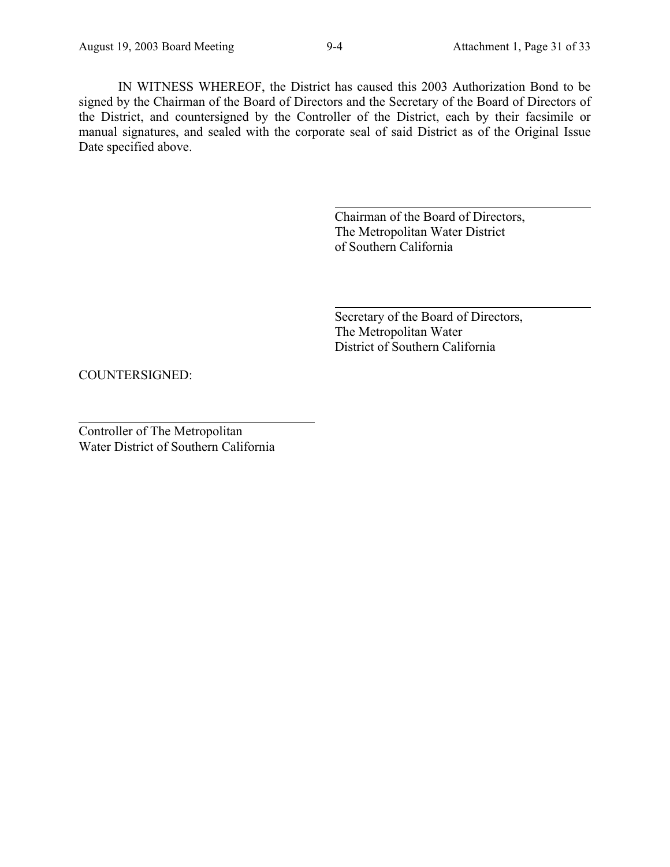IN WITNESS WHEREOF, the District has caused this 2003 Authorization Bond to be signed by the Chairman of the Board of Directors and the Secretary of the Board of Directors of the District, and countersigned by the Controller of the District, each by their facsimile or manual signatures, and sealed with the corporate seal of said District as of the Original Issue Date specified above.

l

 $\overline{a}$ 

Chairman of the Board of Directors, The Metropolitan Water District of Southern California

Secretary of the Board of Directors, The Metropolitan Water District of Southern California

COUNTERSIGNED:

Controller of The Metropolitan Water District of Southern California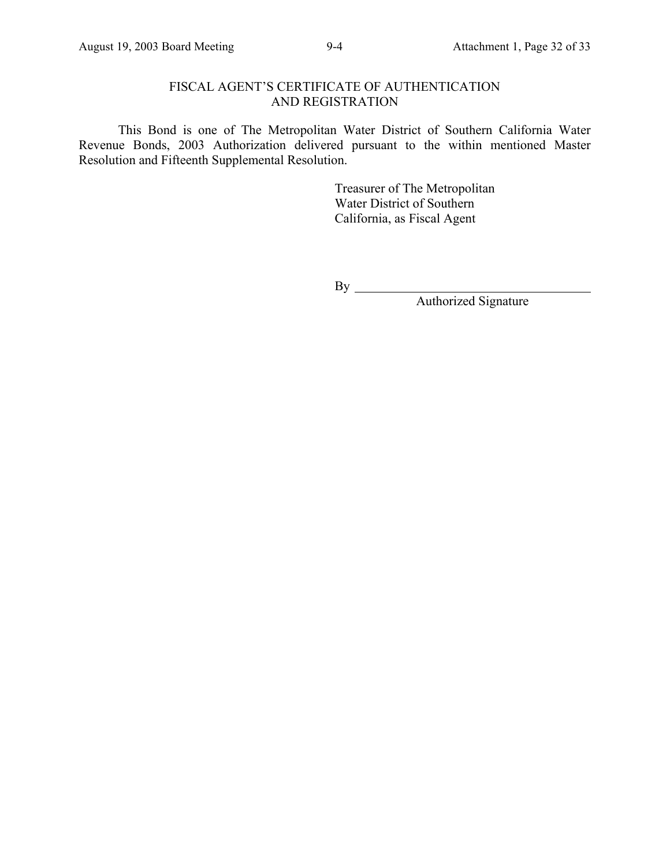## FISCAL AGENT'S CERTIFICATE OF AUTHENTICATION AND REGISTRATION

This Bond is one of The Metropolitan Water District of Southern California Water Revenue Bonds, 2003 Authorization delivered pursuant to the within mentioned Master Resolution and Fifteenth Supplemental Resolution.

> Treasurer of The Metropolitan Water District of Southern California, as Fiscal Agent

By

Authorized Signature